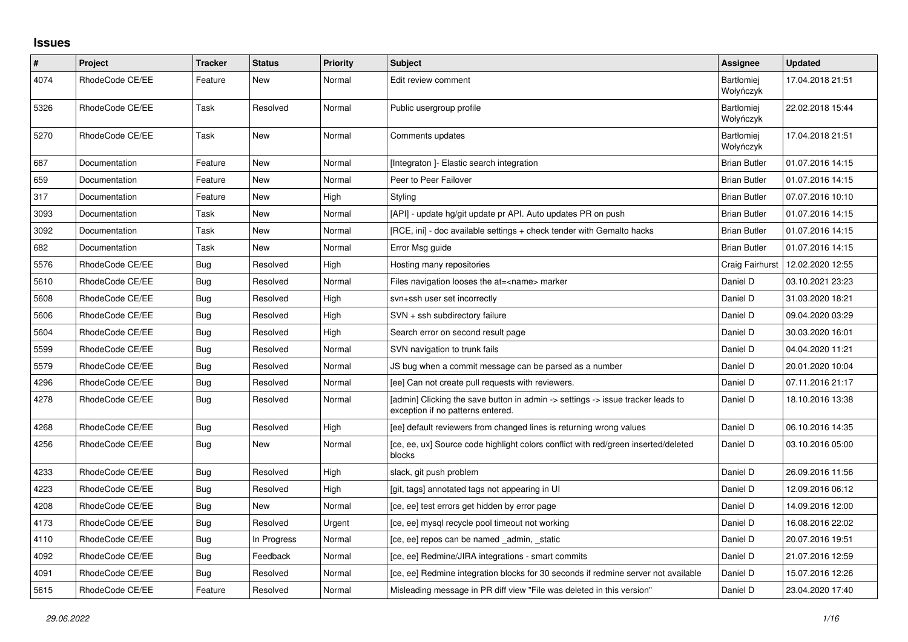## **Issues**

| $\pmb{\#}$ | Project         | <b>Tracker</b> | <b>Status</b> | <b>Priority</b> | <b>Subject</b>                                                                                                       | Assignee                       | <b>Updated</b>   |
|------------|-----------------|----------------|---------------|-----------------|----------------------------------------------------------------------------------------------------------------------|--------------------------------|------------------|
| 4074       | RhodeCode CE/EE | Feature        | New           | Normal          | Edit review comment                                                                                                  | <b>Bartłomiei</b><br>Wołyńczyk | 17.04.2018 21:51 |
| 5326       | RhodeCode CE/EE | Task           | Resolved      | Normal          | Public usergroup profile                                                                                             | <b>Bartłomiej</b><br>Wołyńczyk | 22.02.2018 15:44 |
| 5270       | RhodeCode CE/EE | Task           | New           | Normal          | Comments updates                                                                                                     | Bartłomiej<br>Wołyńczyk        | 17.04.2018 21:51 |
| 687        | Documentation   | Feature        | New           | Normal          | [Integraton] - Elastic search integration                                                                            | <b>Brian Butler</b>            | 01.07.2016 14:15 |
| 659        | Documentation   | Feature        | New           | Normal          | Peer to Peer Failover                                                                                                | <b>Brian Butler</b>            | 01.07.2016 14:15 |
| 317        | Documentation   | Feature        | New           | High            | Styling                                                                                                              | <b>Brian Butler</b>            | 07.07.2016 10:10 |
| 3093       | Documentation   | Task           | New           | Normal          | [API] - update hg/git update pr API. Auto updates PR on push                                                         | <b>Brian Butler</b>            | 01.07.2016 14:15 |
| 3092       | Documentation   | Task           | New           | Normal          | [RCE, ini] - doc available settings + check tender with Gemalto hacks                                                | <b>Brian Butler</b>            | 01.07.2016 14:15 |
| 682        | Documentation   | Task           | New           | Normal          | Error Msg guide                                                                                                      | <b>Brian Butler</b>            | 01.07.2016 14:15 |
| 5576       | RhodeCode CE/EE | Bug            | Resolved      | High            | Hosting many repositories                                                                                            | Craig Fairhurst                | 12.02.2020 12:55 |
| 5610       | RhodeCode CE/EE | Bug            | Resolved      | Normal          | Files navigation looses the at= <name> marker</name>                                                                 | Daniel D                       | 03.10.2021 23:23 |
| 5608       | RhodeCode CE/EE | Bug            | Resolved      | High            | svn+ssh user set incorrectly                                                                                         | Daniel D                       | 31.03.2020 18:21 |
| 5606       | RhodeCode CE/EE | Bug            | Resolved      | High            | SVN + ssh subdirectory failure                                                                                       | Daniel D                       | 09.04.2020 03:29 |
| 5604       | RhodeCode CE/EE | <b>Bug</b>     | Resolved      | High            | Search error on second result page                                                                                   | Daniel D                       | 30.03.2020 16:01 |
| 5599       | RhodeCode CE/EE | <b>Bug</b>     | Resolved      | Normal          | SVN navigation to trunk fails                                                                                        | Daniel D                       | 04.04.2020 11:21 |
| 5579       | RhodeCode CE/EE | Bug            | Resolved      | Normal          | JS bug when a commit message can be parsed as a number                                                               | Daniel D                       | 20.01.2020 10:04 |
| 4296       | RhodeCode CE/EE | Bug            | Resolved      | Normal          | [ee] Can not create pull requests with reviewers.                                                                    | Daniel D                       | 07.11.2016 21:17 |
| 4278       | RhodeCode CE/EE | Bug            | Resolved      | Normal          | [admin] Clicking the save button in admin -> settings -> issue tracker leads to<br>exception if no patterns entered. | Daniel D                       | 18.10.2016 13:38 |
| 4268       | RhodeCode CE/EE | <b>Bug</b>     | Resolved      | High            | [ee] default reviewers from changed lines is returning wrong values                                                  | Daniel D                       | 06.10.2016 14:35 |
| 4256       | RhodeCode CE/EE | <b>Bug</b>     | New           | Normal          | [ce, ee, ux] Source code highlight colors conflict with red/green inserted/deleted<br>blocks                         | Daniel D                       | 03.10.2016 05:00 |
| 4233       | RhodeCode CE/EE | Bug            | Resolved      | High            | slack, git push problem                                                                                              | Daniel D                       | 26.09.2016 11:56 |
| 4223       | RhodeCode CE/EE | Bug            | Resolved      | High            | [git, tags] annotated tags not appearing in UI                                                                       | Daniel D                       | 12.09.2016 06:12 |
| 4208       | RhodeCode CE/EE | Bug            | New           | Normal          | [ce, ee] test errors get hidden by error page                                                                        | Daniel D                       | 14.09.2016 12:00 |
| 4173       | RhodeCode CE/EE | Bug            | Resolved      | Urgent          | [ce, ee] mysql recycle pool timeout not working                                                                      | Daniel D                       | 16.08.2016 22:02 |
| 4110       | RhodeCode CE/EE | Bug            | In Progress   | Normal          | [ce, ee] repos can be named _admin, _static                                                                          | Daniel D                       | 20.07.2016 19:51 |
| 4092       | RhodeCode CE/EE | <b>Bug</b>     | Feedback      | Normal          | [ce, ee] Redmine/JIRA integrations - smart commits                                                                   | Daniel D                       | 21.07.2016 12:59 |
| 4091       | RhodeCode CE/EE | Bug            | Resolved      | Normal          | [ce, ee] Redmine integration blocks for 30 seconds if redmine server not available                                   | Daniel D                       | 15.07.2016 12:26 |
| 5615       | RhodeCode CE/EE | Feature        | Resolved      | Normal          | Misleading message in PR diff view "File was deleted in this version"                                                | Daniel D                       | 23.04.2020 17:40 |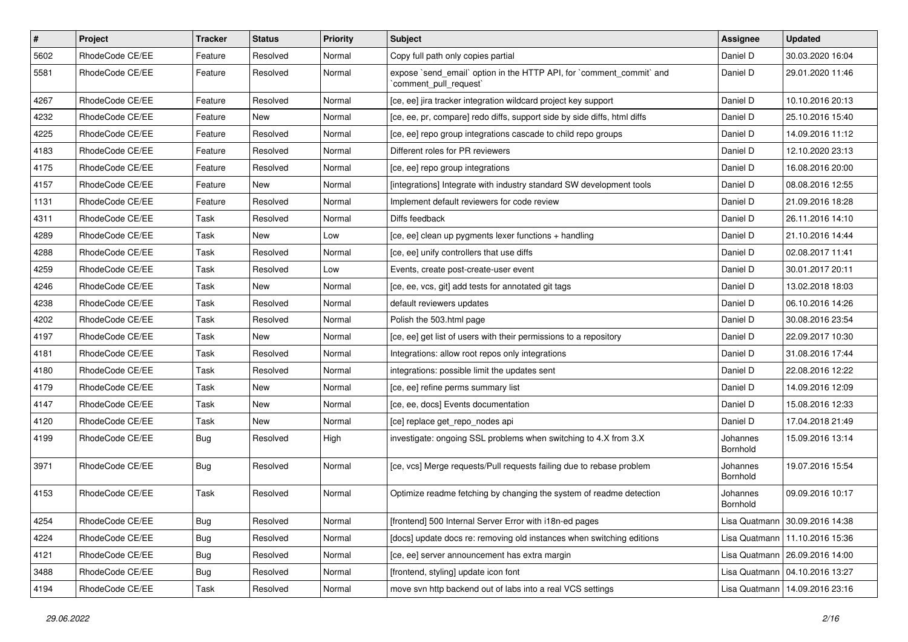| $\vert$ # | Project         | Tracker    | <b>Status</b> | <b>Priority</b> | <b>Subject</b>                                                                                 | Assignee             | <b>Updated</b>                   |
|-----------|-----------------|------------|---------------|-----------------|------------------------------------------------------------------------------------------------|----------------------|----------------------------------|
| 5602      | RhodeCode CE/EE | Feature    | Resolved      | Normal          | Copy full path only copies partial                                                             | Daniel D             | 30.03.2020 16:04                 |
| 5581      | RhodeCode CE/EE | Feature    | Resolved      | Normal          | expose `send_email` option in the HTTP API, for `comment_commit` and<br>`comment_pull_request` | Daniel D             | 29.01.2020 11:46                 |
| 4267      | RhodeCode CE/EE | Feature    | Resolved      | Normal          | [ce, ee] jira tracker integration wildcard project key support                                 | Daniel D             | 10.10.2016 20:13                 |
| 4232      | RhodeCode CE/EE | Feature    | New           | Normal          | [ce, ee, pr, compare] redo diffs, support side by side diffs, html diffs                       | Daniel D             | 25.10.2016 15:40                 |
| 4225      | RhodeCode CE/EE | Feature    | Resolved      | Normal          | [ce, ee] repo group integrations cascade to child repo groups                                  | Daniel D             | 14.09.2016 11:12                 |
| 4183      | RhodeCode CE/EE | Feature    | Resolved      | Normal          | Different roles for PR reviewers                                                               | Daniel D             | 12.10.2020 23:13                 |
| 4175      | RhodeCode CE/EE | Feature    | Resolved      | Normal          | [ce, ee] repo group integrations                                                               | Daniel D             | 16.08.2016 20:00                 |
| 4157      | RhodeCode CE/EE | Feature    | New           | Normal          | [integrations] Integrate with industry standard SW development tools                           | Daniel D             | 08.08.2016 12:55                 |
| 1131      | RhodeCode CE/EE | Feature    | Resolved      | Normal          | Implement default reviewers for code review                                                    | Daniel D             | 21.09.2016 18:28                 |
| 4311      | RhodeCode CE/EE | Task       | Resolved      | Normal          | Diffs feedback                                                                                 | Daniel D             | 26.11.2016 14:10                 |
| 4289      | RhodeCode CE/EE | Task       | New           | Low             | [ce, ee] clean up pygments lexer functions + handling                                          | Daniel D             | 21.10.2016 14:44                 |
| 4288      | RhodeCode CE/EE | Task       | Resolved      | Normal          | [ce, ee] unify controllers that use diffs                                                      | Daniel D             | 02.08.2017 11:41                 |
| 4259      | RhodeCode CE/EE | Task       | Resolved      | Low             | Events, create post-create-user event                                                          | Daniel D             | 30.01.2017 20:11                 |
| 4246      | RhodeCode CE/EE | Task       | New           | Normal          | [ce, ee, vcs, git] add tests for annotated git tags                                            | Daniel D             | 13.02.2018 18:03                 |
| 4238      | RhodeCode CE/EE | Task       | Resolved      | Normal          | default reviewers updates                                                                      | Daniel D             | 06.10.2016 14:26                 |
| 4202      | RhodeCode CE/EE | Task       | Resolved      | Normal          | Polish the 503.html page                                                                       | Daniel D             | 30.08.2016 23:54                 |
| 4197      | RhodeCode CE/EE | Task       | New           | Normal          | [ce, ee] get list of users with their permissions to a repository                              | Daniel D             | 22.09.2017 10:30                 |
| 4181      | RhodeCode CE/EE | Task       | Resolved      | Normal          | Integrations: allow root repos only integrations                                               | Daniel D             | 31.08.2016 17:44                 |
| 4180      | RhodeCode CE/EE | Task       | Resolved      | Normal          | integrations: possible limit the updates sent                                                  | Daniel D             | 22.08.2016 12:22                 |
| 4179      | RhodeCode CE/EE | Task       | New           | Normal          | [ce, ee] refine perms summary list                                                             | Daniel D             | 14.09.2016 12:09                 |
| 4147      | RhodeCode CE/EE | Task       | New           | Normal          | [ce, ee, docs] Events documentation                                                            | Daniel D             | 15.08.2016 12:33                 |
| 4120      | RhodeCode CE/EE | Task       | New           | Normal          | [ce] replace get_repo_nodes api                                                                | Daniel D             | 17.04.2018 21:49                 |
| 4199      | RhodeCode CE/EE | Bug        | Resolved      | High            | investigate: ongoing SSL problems when switching to 4.X from 3.X                               | Johannes<br>Bornhold | 15.09.2016 13:14                 |
| 3971      | RhodeCode CE/EE | <b>Bug</b> | Resolved      | Normal          | [ce, vcs] Merge requests/Pull requests failing due to rebase problem                           | Johannes<br>Bornhold | 19.07.2016 15:54                 |
| 4153      | RhodeCode CE/EE | Task       | Resolved      | Normal          | Optimize readme fetching by changing the system of readme detection                            | Johannes<br>Bornhold | 09.09.2016 10:17                 |
| 4254      | RhodeCode CE/EE | <b>Bug</b> | Resolved      | Normal          | [frontend] 500 Internal Server Error with i18n-ed pages                                        |                      | Lisa Quatmann   30.09.2016 14:38 |
| 4224      | RhodeCode CE/EE | <b>Bug</b> | Resolved      | Normal          | [docs] update docs re: removing old instances when switching editions                          |                      | Lisa Quatmann   11.10.2016 15:36 |
| 4121      | RhodeCode CE/EE | <b>Bug</b> | Resolved      | Normal          | [ce, ee] server announcement has extra margin                                                  |                      | Lisa Quatmann   26.09.2016 14:00 |
| 3488      | RhodeCode CE/EE | <b>Bug</b> | Resolved      | Normal          | [frontend, styling] update icon font                                                           |                      | Lisa Quatmann   04.10.2016 13:27 |
| 4194      | RhodeCode CE/EE | Task       | Resolved      | Normal          | move svn http backend out of labs into a real VCS settings                                     |                      | Lisa Quatmann   14.09.2016 23:16 |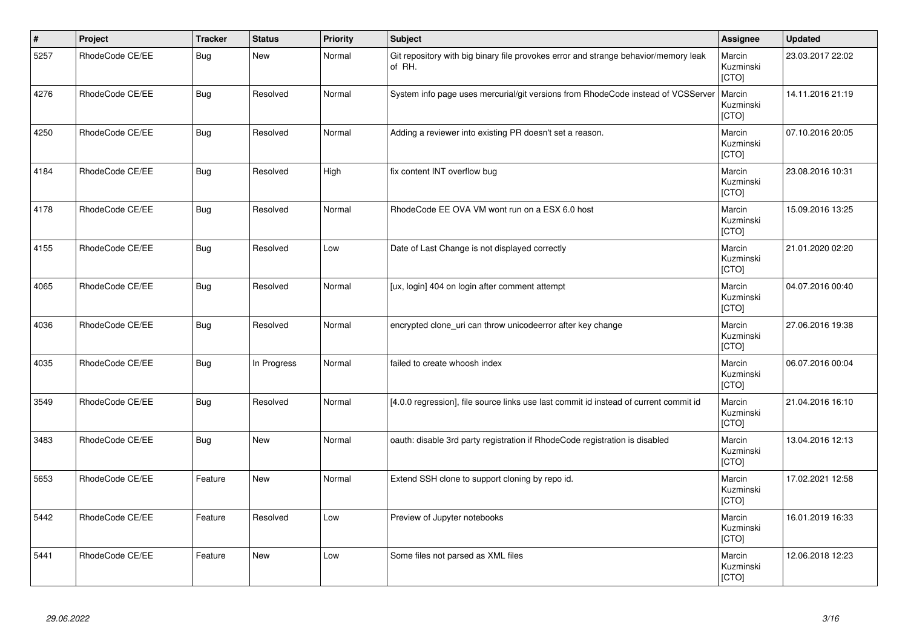| $\vert$ # | Project         | <b>Tracker</b> | <b>Status</b> | <b>Priority</b> | <b>Subject</b>                                                                                | Assignee                     | <b>Updated</b>   |
|-----------|-----------------|----------------|---------------|-----------------|-----------------------------------------------------------------------------------------------|------------------------------|------------------|
| 5257      | RhodeCode CE/EE | <b>Bug</b>     | <b>New</b>    | Normal          | Git repository with big binary file provokes error and strange behavior/memory leak<br>of RH. | Marcin<br>Kuzminski<br>[CTO] | 23.03.2017 22:02 |
| 4276      | RhodeCode CE/EE | <b>Bug</b>     | Resolved      | Normal          | System info page uses mercurial/git versions from RhodeCode instead of VCSServer              | Marcin<br>Kuzminski<br>[CTO] | 14.11.2016 21:19 |
| 4250      | RhodeCode CE/EE | <b>Bug</b>     | Resolved      | Normal          | Adding a reviewer into existing PR doesn't set a reason.                                      | Marcin<br>Kuzminski<br>[CTO] | 07.10.2016 20:05 |
| 4184      | RhodeCode CE/EE | <b>Bug</b>     | Resolved      | High            | fix content INT overflow bug                                                                  | Marcin<br>Kuzminski<br>[CTO] | 23.08.2016 10:31 |
| 4178      | RhodeCode CE/EE | <b>Bug</b>     | Resolved      | Normal          | RhodeCode EE OVA VM wont run on a ESX 6.0 host                                                | Marcin<br>Kuzminski<br>[CTO] | 15.09.2016 13:25 |
| 4155      | RhodeCode CE/EE | <b>Bug</b>     | Resolved      | Low             | Date of Last Change is not displayed correctly                                                | Marcin<br>Kuzminski<br>[CTO] | 21.01.2020 02:20 |
| 4065      | RhodeCode CE/EE | <b>Bug</b>     | Resolved      | Normal          | [ux, login] 404 on login after comment attempt                                                | Marcin<br>Kuzminski<br>[CTO] | 04.07.2016 00:40 |
| 4036      | RhodeCode CE/EE | <b>Bug</b>     | Resolved      | Normal          | encrypted clone_uri can throw unicodeerror after key change                                   | Marcin<br>Kuzminski<br>[CTO] | 27.06.2016 19:38 |
| 4035      | RhodeCode CE/EE | <b>Bug</b>     | In Progress   | Normal          | failed to create whoosh index                                                                 | Marcin<br>Kuzminski<br>[CTO] | 06.07.2016 00:04 |
| 3549      | RhodeCode CE/EE | Bug            | Resolved      | Normal          | [4.0.0 regression], file source links use last commit id instead of current commit id         | Marcin<br>Kuzminski<br>[CTO] | 21.04.2016 16:10 |
| 3483      | RhodeCode CE/EE | <b>Bug</b>     | <b>New</b>    | Normal          | oauth: disable 3rd party registration if RhodeCode registration is disabled                   | Marcin<br>Kuzminski<br>[CTO] | 13.04.2016 12:13 |
| 5653      | RhodeCode CE/EE | Feature        | New           | Normal          | Extend SSH clone to support cloning by repo id.                                               | Marcin<br>Kuzminski<br>[CTO] | 17.02.2021 12:58 |
| 5442      | RhodeCode CE/EE | Feature        | Resolved      | Low             | Preview of Jupyter notebooks                                                                  | Marcin<br>Kuzminski<br>[CTO] | 16.01.2019 16:33 |
| 5441      | RhodeCode CE/EE | Feature        | <b>New</b>    | Low             | Some files not parsed as XML files                                                            | Marcin<br>Kuzminski<br>[CTO] | 12.06.2018 12:23 |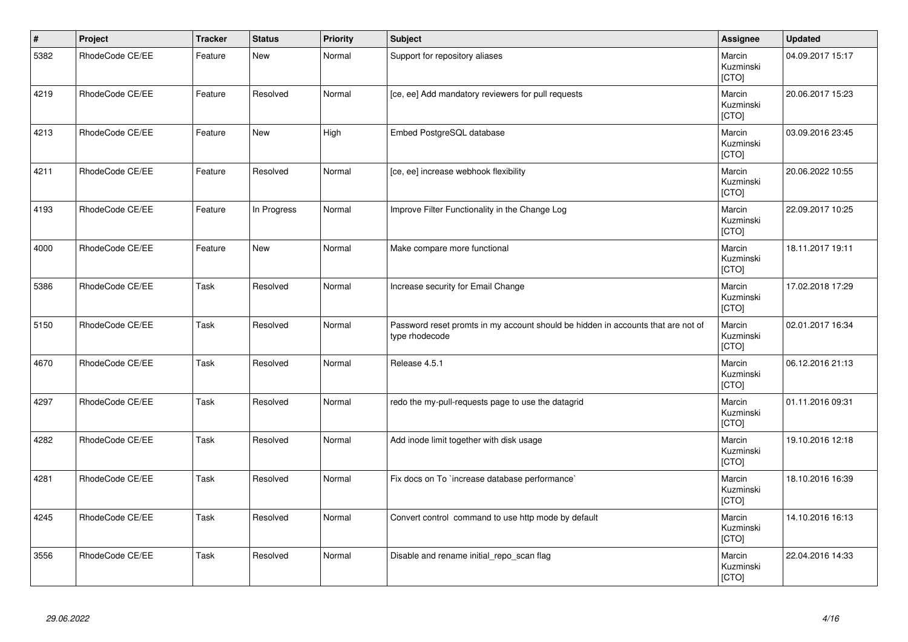| $\vert$ # | Project         | <b>Tracker</b> | <b>Status</b> | <b>Priority</b> | Subject                                                                                            | Assignee                     | <b>Updated</b>   |
|-----------|-----------------|----------------|---------------|-----------------|----------------------------------------------------------------------------------------------------|------------------------------|------------------|
| 5382      | RhodeCode CE/EE | Feature        | <b>New</b>    | Normal          | Support for repository aliases                                                                     | Marcin<br>Kuzminski<br>[CTO] | 04.09.2017 15:17 |
| 4219      | RhodeCode CE/EE | Feature        | Resolved      | Normal          | [ce, ee] Add mandatory reviewers for pull requests                                                 | Marcin<br>Kuzminski<br>[CTO] | 20.06.2017 15:23 |
| 4213      | RhodeCode CE/EE | Feature        | <b>New</b>    | High            | Embed PostgreSQL database                                                                          | Marcin<br>Kuzminski<br>[CTO] | 03.09.2016 23:45 |
| 4211      | RhodeCode CE/EE | Feature        | Resolved      | Normal          | [ce, ee] increase webhook flexibility                                                              | Marcin<br>Kuzminski<br>[CTO] | 20.06.2022 10:55 |
| 4193      | RhodeCode CE/EE | Feature        | In Progress   | Normal          | Improve Filter Functionality in the Change Log                                                     | Marcin<br>Kuzminski<br>[CTO] | 22.09.2017 10:25 |
| 4000      | RhodeCode CE/EE | Feature        | New           | Normal          | Make compare more functional                                                                       | Marcin<br>Kuzminski<br>[CTO] | 18.11.2017 19:11 |
| 5386      | RhodeCode CE/EE | Task           | Resolved      | Normal          | Increase security for Email Change                                                                 | Marcin<br>Kuzminski<br>[CTO] | 17.02.2018 17:29 |
| 5150      | RhodeCode CE/EE | Task           | Resolved      | Normal          | Password reset promts in my account should be hidden in accounts that are not of<br>type rhodecode | Marcin<br>Kuzminski<br>[CTO] | 02.01.2017 16:34 |
| 4670      | RhodeCode CE/EE | Task           | Resolved      | Normal          | Release 4.5.1                                                                                      | Marcin<br>Kuzminski<br>[CTO] | 06.12.2016 21:13 |
| 4297      | RhodeCode CE/EE | Task           | Resolved      | Normal          | redo the my-pull-requests page to use the datagrid                                                 | Marcin<br>Kuzminski<br>[CTO] | 01.11.2016 09:31 |
| 4282      | RhodeCode CE/EE | Task           | Resolved      | Normal          | Add inode limit together with disk usage                                                           | Marcin<br>Kuzminski<br>[CTO] | 19.10.2016 12:18 |
| 4281      | RhodeCode CE/EE | Task           | Resolved      | Normal          | Fix docs on To `increase database performance`                                                     | Marcin<br>Kuzminski<br>[CTO] | 18.10.2016 16:39 |
| 4245      | RhodeCode CE/EE | Task           | Resolved      | Normal          | Convert control command to use http mode by default                                                | Marcin<br>Kuzminski<br>[CTO] | 14.10.2016 16:13 |
| 3556      | RhodeCode CE/EE | Task           | Resolved      | Normal          | Disable and rename initial_repo_scan flag                                                          | Marcin<br>Kuzminski<br>[CTO] | 22.04.2016 14:33 |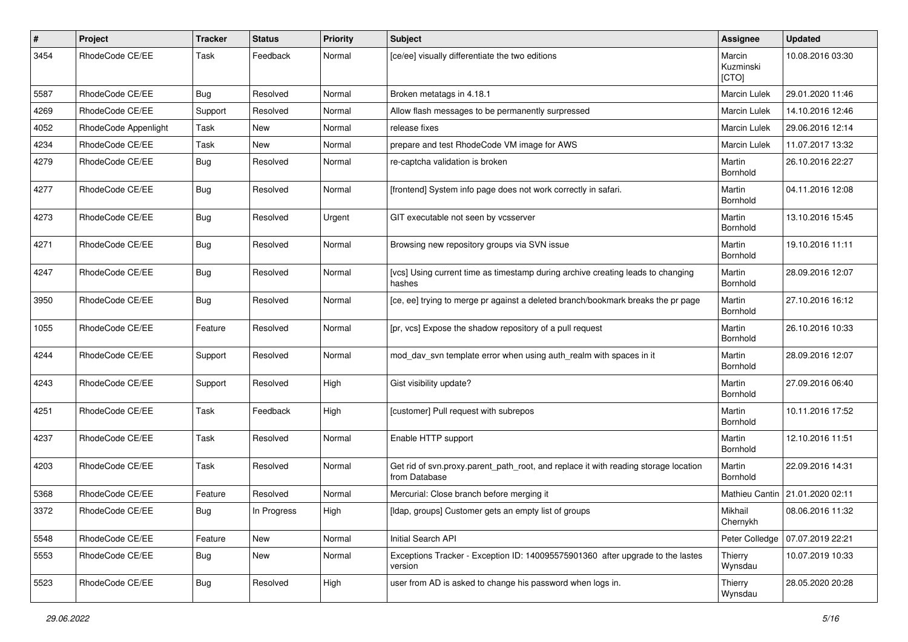| #    | Project              | <b>Tracker</b> | <b>Status</b> | <b>Priority</b> | <b>Subject</b>                                                                                       | Assignee                     | <b>Updated</b>                  |
|------|----------------------|----------------|---------------|-----------------|------------------------------------------------------------------------------------------------------|------------------------------|---------------------------------|
| 3454 | RhodeCode CE/EE      | Task           | Feedback      | Normal          | [ce/ee] visually differentiate the two editions                                                      | Marcin<br>Kuzminski<br>[CTO] | 10.08.2016 03:30                |
| 5587 | RhodeCode CE/EE      | <b>Bug</b>     | Resolved      | Normal          | Broken metatags in 4.18.1                                                                            | <b>Marcin Lulek</b>          | 29.01.2020 11:46                |
| 4269 | RhodeCode CE/EE      | Support        | Resolved      | Normal          | Allow flash messages to be permanently surpressed                                                    | Marcin Lulek                 | 14.10.2016 12:46                |
| 4052 | RhodeCode Appenlight | Task           | New           | Normal          | release fixes                                                                                        | Marcin Lulek                 | 29.06.2016 12:14                |
| 4234 | RhodeCode CE/EE      | Task           | New           | Normal          | prepare and test RhodeCode VM image for AWS                                                          | <b>Marcin Lulek</b>          | 11.07.2017 13:32                |
| 4279 | RhodeCode CE/EE      | Bug            | Resolved      | Normal          | re-captcha validation is broken                                                                      | Martin<br>Bornhold           | 26.10.2016 22:27                |
| 4277 | RhodeCode CE/EE      | Bug            | Resolved      | Normal          | [frontend] System info page does not work correctly in safari.                                       | Martin<br>Bornhold           | 04.11.2016 12:08                |
| 4273 | RhodeCode CE/EE      | Bug            | Resolved      | Urgent          | GIT executable not seen by vcsserver                                                                 | Martin<br>Bornhold           | 13.10.2016 15:45                |
| 4271 | RhodeCode CE/EE      | Bug            | Resolved      | Normal          | Browsing new repository groups via SVN issue                                                         | Martin<br>Bornhold           | 19.10.2016 11:11                |
| 4247 | RhodeCode CE/EE      | Bug            | Resolved      | Normal          | [vcs] Using current time as timestamp during archive creating leads to changing<br>hashes            | Martin<br>Bornhold           | 28.09.2016 12:07                |
| 3950 | RhodeCode CE/EE      | Bug            | Resolved      | Normal          | [ce, ee] trying to merge pr against a deleted branch/bookmark breaks the pr page                     | Martin<br>Bornhold           | 27.10.2016 16:12                |
| 1055 | RhodeCode CE/EE      | Feature        | Resolved      | Normal          | [pr, vcs] Expose the shadow repository of a pull request                                             | Martin<br>Bornhold           | 26.10.2016 10:33                |
| 4244 | RhodeCode CE/EE      | Support        | Resolved      | Normal          | mod_dav_svn template error when using auth_realm with spaces in it                                   | Martin<br>Bornhold           | 28.09.2016 12:07                |
| 4243 | RhodeCode CE/EE      | Support        | Resolved      | High            | Gist visibility update?                                                                              | Martin<br>Bornhold           | 27.09.2016 06:40                |
| 4251 | RhodeCode CE/EE      | Task           | Feedback      | High            | [customer] Pull request with subrepos                                                                | Martin<br>Bornhold           | 10.11.2016 17:52                |
| 4237 | RhodeCode CE/EE      | Task           | Resolved      | Normal          | Enable HTTP support                                                                                  | Martin<br>Bornhold           | 12.10.2016 11:51                |
| 4203 | RhodeCode CE/EE      | Task           | Resolved      | Normal          | Get rid of svn.proxy.parent_path_root, and replace it with reading storage location<br>from Database | Martin<br>Bornhold           | 22.09.2016 14:31                |
| 5368 | RhodeCode CE/EE      | Feature        | Resolved      | Normal          | Mercurial: Close branch before merging it                                                            |                              | Mathieu Cantin 21.01.2020 02:11 |
| 3372 | RhodeCode CE/EE      | Bug            | In Progress   | High            | [Idap, groups] Customer gets an empty list of groups                                                 | Mikhail<br>Chernykh          | 08.06.2016 11:32                |
| 5548 | RhodeCode CE/EE      | Feature        | New           | Normal          | Initial Search API                                                                                   | Peter Colledge               | 07.07.2019 22:21                |
| 5553 | RhodeCode CE/EE      | <b>Bug</b>     | New           | Normal          | Exceptions Tracker - Exception ID: 140095575901360 after upgrade to the lastes<br>version            | Thierry<br>Wynsdau           | 10.07.2019 10:33                |
| 5523 | RhodeCode CE/EE      | Bug            | Resolved      | High            | user from AD is asked to change his password when logs in.                                           | Thierry<br>Wynsdau           | 28.05.2020 20:28                |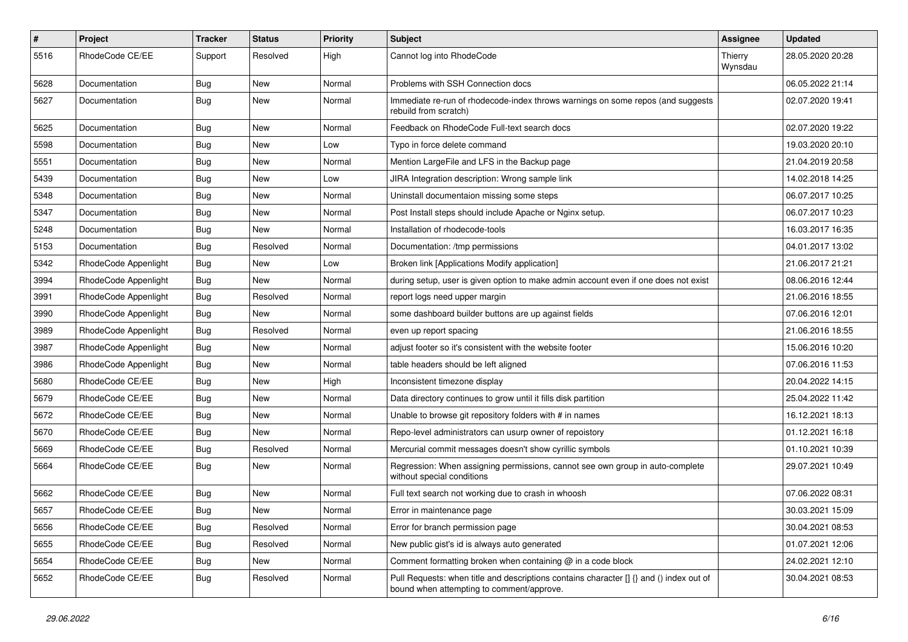| $\#$ | Project              | Tracker    | <b>Status</b> | <b>Priority</b> | <b>Subject</b>                                                                                                                       | Assignee           | <b>Updated</b>   |
|------|----------------------|------------|---------------|-----------------|--------------------------------------------------------------------------------------------------------------------------------------|--------------------|------------------|
| 5516 | RhodeCode CE/EE      | Support    | Resolved      | High            | Cannot log into RhodeCode                                                                                                            | Thierry<br>Wynsdau | 28.05.2020 20:28 |
| 5628 | Documentation        | Bug        | New           | Normal          | Problems with SSH Connection docs                                                                                                    |                    | 06.05.2022 21:14 |
| 5627 | Documentation        | Bug        | New           | Normal          | Immediate re-run of rhodecode-index throws warnings on some repos (and suggests<br>rebuild from scratch)                             |                    | 02.07.2020 19:41 |
| 5625 | Documentation        | Bug        | New           | Normal          | Feedback on RhodeCode Full-text search docs                                                                                          |                    | 02.07.2020 19:22 |
| 5598 | Documentation        | <b>Bug</b> | New           | Low             | Typo in force delete command                                                                                                         |                    | 19.03.2020 20:10 |
| 5551 | Documentation        | <b>Bug</b> | New           | Normal          | Mention LargeFile and LFS in the Backup page                                                                                         |                    | 21.04.2019 20:58 |
| 5439 | Documentation        | <b>Bug</b> | New           | Low             | JIRA Integration description: Wrong sample link                                                                                      |                    | 14.02.2018 14:25 |
| 5348 | Documentation        | Bug        | <b>New</b>    | Normal          | Uninstall documentaion missing some steps                                                                                            |                    | 06.07.2017 10:25 |
| 5347 | Documentation        | <b>Bug</b> | New           | Normal          | Post Install steps should include Apache or Nginx setup.                                                                             |                    | 06.07.2017 10:23 |
| 5248 | Documentation        | <b>Bug</b> | New           | Normal          | Installation of rhodecode-tools                                                                                                      |                    | 16.03.2017 16:35 |
| 5153 | Documentation        | Bug        | Resolved      | Normal          | Documentation: /tmp permissions                                                                                                      |                    | 04.01.2017 13:02 |
| 5342 | RhodeCode Appenlight | <b>Bug</b> | New           | Low             | Broken link [Applications Modify application]                                                                                        |                    | 21.06.2017 21:21 |
| 3994 | RhodeCode Appenlight | Bug        | New           | Normal          | during setup, user is given option to make admin account even if one does not exist                                                  |                    | 08.06.2016 12:44 |
| 3991 | RhodeCode Appenlight | <b>Bug</b> | Resolved      | Normal          | report logs need upper margin                                                                                                        |                    | 21.06.2016 18:55 |
| 3990 | RhodeCode Appenlight | Bug        | New           | Normal          | some dashboard builder buttons are up against fields                                                                                 |                    | 07.06.2016 12:01 |
| 3989 | RhodeCode Appenlight | <b>Bug</b> | Resolved      | Normal          | even up report spacing                                                                                                               |                    | 21.06.2016 18:55 |
| 3987 | RhodeCode Appenlight | <b>Bug</b> | New           | Normal          | adjust footer so it's consistent with the website footer                                                                             |                    | 15.06.2016 10:20 |
| 3986 | RhodeCode Appenlight | Bug        | New           | Normal          | table headers should be left aligned                                                                                                 |                    | 07.06.2016 11:53 |
| 5680 | RhodeCode CE/EE      | Bug        | New           | High            | Inconsistent timezone display                                                                                                        |                    | 20.04.2022 14:15 |
| 5679 | RhodeCode CE/EE      | <b>Bug</b> | New           | Normal          | Data directory continues to grow until it fills disk partition                                                                       |                    | 25.04.2022 11:42 |
| 5672 | RhodeCode CE/EE      | Bug        | New           | Normal          | Unable to browse git repository folders with # in names                                                                              |                    | 16.12.2021 18:13 |
| 5670 | RhodeCode CE/EE      | <b>Bug</b> | New           | Normal          | Repo-level administrators can usurp owner of repoistory                                                                              |                    | 01.12.2021 16:18 |
| 5669 | RhodeCode CE/EE      | <b>Bug</b> | Resolved      | Normal          | Mercurial commit messages doesn't show cyrillic symbols                                                                              |                    | 01.10.2021 10:39 |
| 5664 | RhodeCode CE/EE      | <b>Bug</b> | New           | Normal          | Regression: When assigning permissions, cannot see own group in auto-complete<br>without special conditions                          |                    | 29.07.2021 10:49 |
| 5662 | RhodeCode CE/EE      | <b>Bug</b> | New           | Normal          | Full text search not working due to crash in whoosh                                                                                  |                    | 07.06.2022 08:31 |
| 5657 | RhodeCode CE/EE      | Bug        | New           | Normal          | Error in maintenance page                                                                                                            |                    | 30.03.2021 15:09 |
| 5656 | RhodeCode CE/EE      | Bug        | Resolved      | Normal          | Error for branch permission page                                                                                                     |                    | 30.04.2021 08:53 |
| 5655 | RhodeCode CE/EE      | <b>Bug</b> | Resolved      | Normal          | New public gist's id is always auto generated                                                                                        |                    | 01.07.2021 12:06 |
| 5654 | RhodeCode CE/EE      | Bug        | New           | Normal          | Comment formatting broken when containing @ in a code block                                                                          |                    | 24.02.2021 12:10 |
| 5652 | RhodeCode CE/EE      | Bug        | Resolved      | Normal          | Pull Requests: when title and descriptions contains character [] {} and () index out of<br>bound when attempting to comment/approve. |                    | 30.04.2021 08:53 |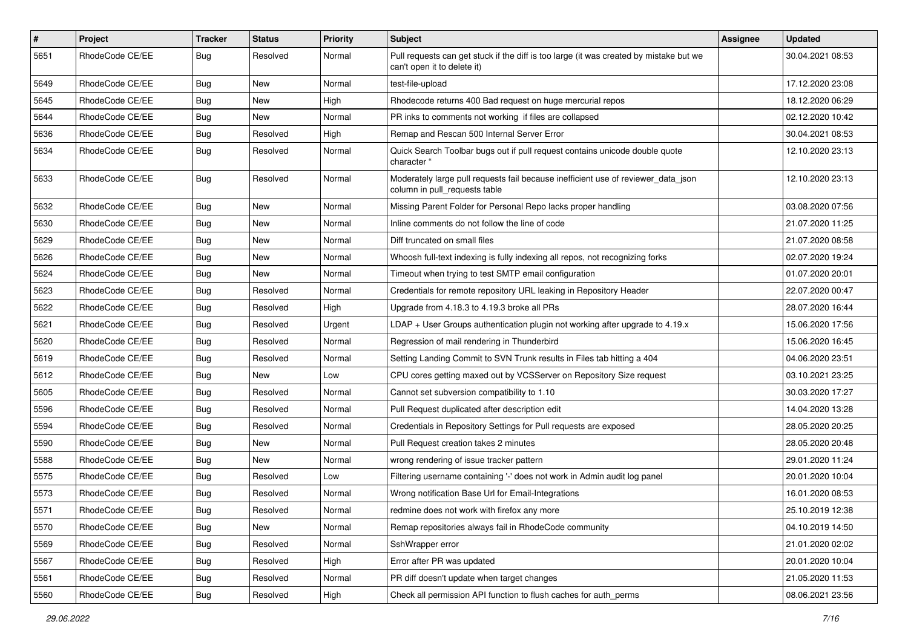| $\sharp$ | Project         | <b>Tracker</b> | <b>Status</b> | <b>Priority</b> | <b>Subject</b>                                                                                                        | <b>Assignee</b> | <b>Updated</b>   |
|----------|-----------------|----------------|---------------|-----------------|-----------------------------------------------------------------------------------------------------------------------|-----------------|------------------|
| 5651     | RhodeCode CE/EE | Bug            | Resolved      | Normal          | Pull requests can get stuck if the diff is too large (it was created by mistake but we<br>can't open it to delete it) |                 | 30.04.2021 08:53 |
| 5649     | RhodeCode CE/EE | Bug            | New           | Normal          | test-file-upload                                                                                                      |                 | 17.12.2020 23:08 |
| 5645     | RhodeCode CE/EE | Bug            | New           | High            | Rhodecode returns 400 Bad request on huge mercurial repos                                                             |                 | 18.12.2020 06:29 |
| 5644     | RhodeCode CE/EE | Bug            | New           | Normal          | PR inks to comments not working if files are collapsed                                                                |                 | 02.12.2020 10:42 |
| 5636     | RhodeCode CE/EE | Bug            | Resolved      | High            | Remap and Rescan 500 Internal Server Error                                                                            |                 | 30.04.2021 08:53 |
| 5634     | RhodeCode CE/EE | Bug            | Resolved      | Normal          | Quick Search Toolbar bugs out if pull request contains unicode double quote<br>character "                            |                 | 12.10.2020 23:13 |
| 5633     | RhodeCode CE/EE | <b>Bug</b>     | Resolved      | Normal          | Moderately large pull requests fail because inefficient use of reviewer data json<br>column in pull requests table    |                 | 12.10.2020 23:13 |
| 5632     | RhodeCode CE/EE | Bug            | New           | Normal          | Missing Parent Folder for Personal Repo lacks proper handling                                                         |                 | 03.08.2020 07:56 |
| 5630     | RhodeCode CE/EE | Bug            | New           | Normal          | Inline comments do not follow the line of code                                                                        |                 | 21.07.2020 11:25 |
| 5629     | RhodeCode CE/EE | Bug            | New           | Normal          | Diff truncated on small files                                                                                         |                 | 21.07.2020 08:58 |
| 5626     | RhodeCode CE/EE | Bug            | New           | Normal          | Whoosh full-text indexing is fully indexing all repos, not recognizing forks                                          |                 | 02.07.2020 19:24 |
| 5624     | RhodeCode CE/EE | Bug            | New           | Normal          | Timeout when trying to test SMTP email configuration                                                                  |                 | 01.07.2020 20:01 |
| 5623     | RhodeCode CE/EE | <b>Bug</b>     | Resolved      | Normal          | Credentials for remote repository URL leaking in Repository Header                                                    |                 | 22.07.2020 00:47 |
| 5622     | RhodeCode CE/EE | Bug            | Resolved      | High            | Upgrade from 4.18.3 to 4.19.3 broke all PRs                                                                           |                 | 28.07.2020 16:44 |
| 5621     | RhodeCode CE/EE | <b>Bug</b>     | Resolved      | Urgent          | $LDAP + User Groups authentication plugin not working after upgrade to 4.19.x$                                        |                 | 15.06.2020 17:56 |
| 5620     | RhodeCode CE/EE | Bug            | Resolved      | Normal          | Regression of mail rendering in Thunderbird                                                                           |                 | 15.06.2020 16:45 |
| 5619     | RhodeCode CE/EE | <b>Bug</b>     | Resolved      | Normal          | Setting Landing Commit to SVN Trunk results in Files tab hitting a 404                                                |                 | 04.06.2020 23:51 |
| 5612     | RhodeCode CE/EE | Bug            | New           | Low             | CPU cores getting maxed out by VCSServer on Repository Size request                                                   |                 | 03.10.2021 23:25 |
| 5605     | RhodeCode CE/EE | <b>Bug</b>     | Resolved      | Normal          | Cannot set subversion compatibility to 1.10                                                                           |                 | 30.03.2020 17:27 |
| 5596     | RhodeCode CE/EE | <b>Bug</b>     | Resolved      | Normal          | Pull Request duplicated after description edit                                                                        |                 | 14.04.2020 13:28 |
| 5594     | RhodeCode CE/EE | <b>Bug</b>     | Resolved      | Normal          | Credentials in Repository Settings for Pull requests are exposed                                                      |                 | 28.05.2020 20:25 |
| 5590     | RhodeCode CE/EE | <b>Bug</b>     | New           | Normal          | Pull Request creation takes 2 minutes                                                                                 |                 | 28.05.2020 20:48 |
| 5588     | RhodeCode CE/EE | Bug            | <b>New</b>    | Normal          | wrong rendering of issue tracker pattern                                                                              |                 | 29.01.2020 11:24 |
| 5575     | RhodeCode CE/EE | Bug            | Resolved      | Low             | Filtering username containing '-' does not work in Admin audit log panel                                              |                 | 20.01.2020 10:04 |
| 5573     | RhodeCode CE/EE | Bug            | Resolved      | Normal          | Wrong notification Base Url for Email-Integrations                                                                    |                 | 16.01.2020 08:53 |
| 5571     | RhodeCode CE/EE | Bug            | Resolved      | Normal          | redmine does not work with firefox any more                                                                           |                 | 25.10.2019 12:38 |
| 5570     | RhodeCode CE/EE | Bug            | New           | Normal          | Remap repositories always fail in RhodeCode community                                                                 |                 | 04.10.2019 14:50 |
| 5569     | RhodeCode CE/EE | Bug            | Resolved      | Normal          | SshWrapper error                                                                                                      |                 | 21.01.2020 02:02 |
| 5567     | RhodeCode CE/EE | Bug            | Resolved      | High            | Error after PR was updated                                                                                            |                 | 20.01.2020 10:04 |
| 5561     | RhodeCode CE/EE | Bug            | Resolved      | Normal          | PR diff doesn't update when target changes                                                                            |                 | 21.05.2020 11:53 |
| 5560     | RhodeCode CE/EE | <b>Bug</b>     | Resolved      | High            | Check all permission API function to flush caches for auth_perms                                                      |                 | 08.06.2021 23:56 |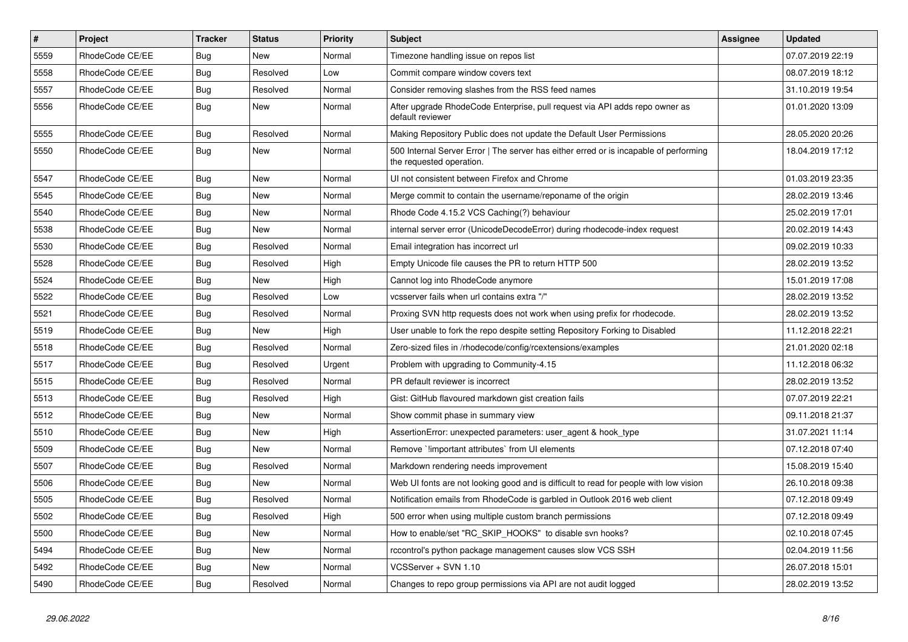| $\pmb{\#}$ | Project         | <b>Tracker</b> | <b>Status</b> | <b>Priority</b> | <b>Subject</b>                                                                                                    | <b>Assignee</b> | <b>Updated</b>   |
|------------|-----------------|----------------|---------------|-----------------|-------------------------------------------------------------------------------------------------------------------|-----------------|------------------|
| 5559       | RhodeCode CE/EE | Bug            | New           | Normal          | Timezone handling issue on repos list                                                                             |                 | 07.07.2019 22:19 |
| 5558       | RhodeCode CE/EE | Bug            | Resolved      | Low             | Commit compare window covers text                                                                                 |                 | 08.07.2019 18:12 |
| 5557       | RhodeCode CE/EE | Bug            | Resolved      | Normal          | Consider removing slashes from the RSS feed names                                                                 |                 | 31.10.2019 19:54 |
| 5556       | RhodeCode CE/EE | Bug            | <b>New</b>    | Normal          | After upgrade RhodeCode Enterprise, pull request via API adds repo owner as<br>default reviewer                   |                 | 01.01.2020 13:09 |
| 5555       | RhodeCode CE/EE | Bug            | Resolved      | Normal          | Making Repository Public does not update the Default User Permissions                                             |                 | 28.05.2020 20:26 |
| 5550       | RhodeCode CE/EE | Bug            | New           | Normal          | 500 Internal Server Error   The server has either erred or is incapable of performing<br>the requested operation. |                 | 18.04.2019 17:12 |
| 5547       | RhodeCode CE/EE | Bug            | <b>New</b>    | Normal          | UI not consistent between Firefox and Chrome                                                                      |                 | 01.03.2019 23:35 |
| 5545       | RhodeCode CE/EE | Bug            | New           | Normal          | Merge commit to contain the username/reponame of the origin                                                       |                 | 28.02.2019 13:46 |
| 5540       | RhodeCode CE/EE | <b>Bug</b>     | New           | Normal          | Rhode Code 4.15.2 VCS Caching(?) behaviour                                                                        |                 | 25.02.2019 17:01 |
| 5538       | RhodeCode CE/EE | Bug            | <b>New</b>    | Normal          | internal server error (UnicodeDecodeError) during rhodecode-index request                                         |                 | 20.02.2019 14:43 |
| 5530       | RhodeCode CE/EE | Bug            | Resolved      | Normal          | Email integration has incorrect url                                                                               |                 | 09.02.2019 10:33 |
| 5528       | RhodeCode CE/EE | Bug            | Resolved      | High            | Empty Unicode file causes the PR to return HTTP 500                                                               |                 | 28.02.2019 13:52 |
| 5524       | RhodeCode CE/EE | Bug            | <b>New</b>    | High            | Cannot log into RhodeCode anymore                                                                                 |                 | 15.01.2019 17:08 |
| 5522       | RhodeCode CE/EE | <b>Bug</b>     | Resolved      | Low             | vcsserver fails when url contains extra "/"                                                                       |                 | 28.02.2019 13:52 |
| 5521       | RhodeCode CE/EE | <b>Bug</b>     | Resolved      | Normal          | Proxing SVN http requests does not work when using prefix for rhodecode.                                          |                 | 28.02.2019 13:52 |
| 5519       | RhodeCode CE/EE | Bug            | New           | High            | User unable to fork the repo despite setting Repository Forking to Disabled                                       |                 | 11.12.2018 22:21 |
| 5518       | RhodeCode CE/EE | Bug            | Resolved      | Normal          | Zero-sized files in /rhodecode/config/rcextensions/examples                                                       |                 | 21.01.2020 02:18 |
| 5517       | RhodeCode CE/EE | Bug            | Resolved      | Urgent          | Problem with upgrading to Community-4.15                                                                          |                 | 11.12.2018 06:32 |
| 5515       | RhodeCode CE/EE | Bug            | Resolved      | Normal          | PR default reviewer is incorrect                                                                                  |                 | 28.02.2019 13:52 |
| 5513       | RhodeCode CE/EE | Bug            | Resolved      | High            | Gist: GitHub flavoured markdown gist creation fails                                                               |                 | 07.07.2019 22:21 |
| 5512       | RhodeCode CE/EE | Bug            | <b>New</b>    | Normal          | Show commit phase in summary view                                                                                 |                 | 09.11.2018 21:37 |
| 5510       | RhodeCode CE/EE | Bug            | <b>New</b>    | High            | AssertionError: unexpected parameters: user_agent & hook_type                                                     |                 | 31.07.2021 11:14 |
| 5509       | RhodeCode CE/EE | <b>Bug</b>     | <b>New</b>    | Normal          | Remove `!important attributes` from UI elements                                                                   |                 | 07.12.2018 07:40 |
| 5507       | RhodeCode CE/EE | Bug            | Resolved      | Normal          | Markdown rendering needs improvement                                                                              |                 | 15.08.2019 15:40 |
| 5506       | RhodeCode CE/EE | Bug            | New           | Normal          | Web UI fonts are not looking good and is difficult to read for people with low vision                             |                 | 26.10.2018 09:38 |
| 5505       | RhodeCode CE/EE | Bug            | Resolved      | Normal          | Notification emails from RhodeCode is garbled in Outlook 2016 web client                                          |                 | 07.12.2018 09:49 |
| 5502       | RhodeCode CE/EE | <b>Bug</b>     | Resolved      | High            | 500 error when using multiple custom branch permissions                                                           |                 | 07.12.2018 09:49 |
| 5500       | RhodeCode CE/EE | Bug            | New           | Normal          | How to enable/set "RC_SKIP_HOOKS" to disable svn hooks?                                                           |                 | 02.10.2018 07:45 |
| 5494       | RhodeCode CE/EE | <b>Bug</b>     | <b>New</b>    | Normal          | rccontrol's python package management causes slow VCS SSH                                                         |                 | 02.04.2019 11:56 |
| 5492       | RhodeCode CE/EE | Bug            | New           | Normal          | VCSServer + SVN 1.10                                                                                              |                 | 26.07.2018 15:01 |
| 5490       | RhodeCode CE/EE | <b>Bug</b>     | Resolved      | Normal          | Changes to repo group permissions via API are not audit logged                                                    |                 | 28.02.2019 13:52 |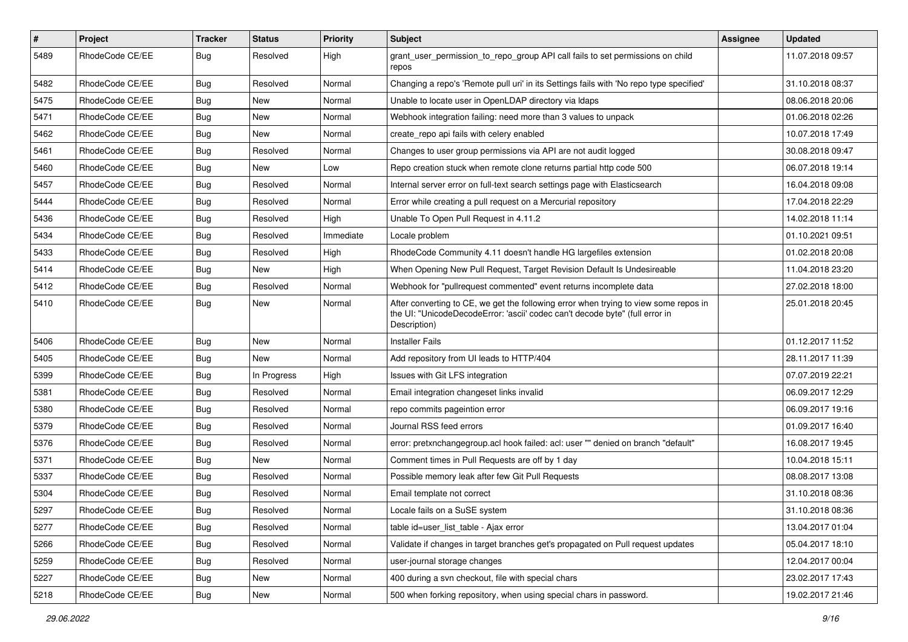| $\pmb{\#}$ | Project         | <b>Tracker</b> | <b>Status</b> | <b>Priority</b> | <b>Subject</b>                                                                                                                                                                       | <b>Assignee</b> | <b>Updated</b>   |
|------------|-----------------|----------------|---------------|-----------------|--------------------------------------------------------------------------------------------------------------------------------------------------------------------------------------|-----------------|------------------|
| 5489       | RhodeCode CE/EE | Bug            | Resolved      | High            | grant_user_permission_to_repo_group API call fails to set permissions on child<br>repos                                                                                              |                 | 11.07.2018 09:57 |
| 5482       | RhodeCode CE/EE | Bug            | Resolved      | Normal          | Changing a repo's 'Remote pull uri' in its Settings fails with 'No repo type specified'                                                                                              |                 | 31.10.2018 08:37 |
| 5475       | RhodeCode CE/EE | Bug            | New           | Normal          | Unable to locate user in OpenLDAP directory via Idaps                                                                                                                                |                 | 08.06.2018 20:06 |
| 5471       | RhodeCode CE/EE | Bug            | New           | Normal          | Webhook integration failing: need more than 3 values to unpack                                                                                                                       |                 | 01.06.2018 02:26 |
| 5462       | RhodeCode CE/EE | Bug            | <b>New</b>    | Normal          | create repo api fails with celery enabled                                                                                                                                            |                 | 10.07.2018 17:49 |
| 5461       | RhodeCode CE/EE | <b>Bug</b>     | Resolved      | Normal          | Changes to user group permissions via API are not audit logged                                                                                                                       |                 | 30.08.2018 09:47 |
| 5460       | RhodeCode CE/EE | Bug            | New           | Low             | Repo creation stuck when remote clone returns partial http code 500                                                                                                                  |                 | 06.07.2018 19:14 |
| 5457       | RhodeCode CE/EE | Bug            | Resolved      | Normal          | Internal server error on full-text search settings page with Elasticsearch                                                                                                           |                 | 16.04.2018 09:08 |
| 5444       | RhodeCode CE/EE | Bug            | Resolved      | Normal          | Error while creating a pull request on a Mercurial repository                                                                                                                        |                 | 17.04.2018 22:29 |
| 5436       | RhodeCode CE/EE | Bug            | Resolved      | High            | Unable To Open Pull Request in 4.11.2                                                                                                                                                |                 | 14.02.2018 11:14 |
| 5434       | RhodeCode CE/EE | Bug            | Resolved      | Immediate       | Locale problem                                                                                                                                                                       |                 | 01.10.2021 09:51 |
| 5433       | RhodeCode CE/EE | Bug            | Resolved      | High            | RhodeCode Community 4.11 doesn't handle HG largefiles extension                                                                                                                      |                 | 01.02.2018 20:08 |
| 5414       | RhodeCode CE/EE | Bug            | New           | High            | When Opening New Pull Request, Target Revision Default Is Undesireable                                                                                                               |                 | 11.04.2018 23:20 |
| 5412       | RhodeCode CE/EE | Bug            | Resolved      | Normal          | Webhook for "pullrequest commented" event returns incomplete data                                                                                                                    |                 | 27.02.2018 18:00 |
| 5410       | RhodeCode CE/EE | Bug            | New           | Normal          | After converting to CE, we get the following error when trying to view some repos in<br>the UI: "UnicodeDecodeError: 'ascii' codec can't decode byte" (full error in<br>Description) |                 | 25.01.2018 20:45 |
| 5406       | RhodeCode CE/EE | Bug            | New           | Normal          | <b>Installer Fails</b>                                                                                                                                                               |                 | 01.12.2017 11:52 |
| 5405       | RhodeCode CE/EE | Bug            | New           | Normal          | Add repository from UI leads to HTTP/404                                                                                                                                             |                 | 28.11.2017 11:39 |
| 5399       | RhodeCode CE/EE | Bug            | In Progress   | High            | Issues with Git LFS integration                                                                                                                                                      |                 | 07.07.2019 22:21 |
| 5381       | RhodeCode CE/EE | Bug            | Resolved      | Normal          | Email integration changeset links invalid                                                                                                                                            |                 | 06.09.2017 12:29 |
| 5380       | RhodeCode CE/EE | <b>Bug</b>     | Resolved      | Normal          | repo commits pageintion error                                                                                                                                                        |                 | 06.09.2017 19:16 |
| 5379       | RhodeCode CE/EE | Bug            | Resolved      | Normal          | Journal RSS feed errors                                                                                                                                                              |                 | 01.09.2017 16:40 |
| 5376       | RhodeCode CE/EE | <b>Bug</b>     | Resolved      | Normal          | error: pretxnchangegroup.acl hook failed: acl: user "" denied on branch "default"                                                                                                    |                 | 16.08.2017 19:45 |
| 5371       | RhodeCode CE/EE | Bug            | <b>New</b>    | Normal          | Comment times in Pull Requests are off by 1 day                                                                                                                                      |                 | 10.04.2018 15:11 |
| 5337       | RhodeCode CE/EE | Bug            | Resolved      | Normal          | Possible memory leak after few Git Pull Requests                                                                                                                                     |                 | 08.08.2017 13:08 |
| 5304       | RhodeCode CE/EE | Bug            | Resolved      | Normal          | Email template not correct                                                                                                                                                           |                 | 31.10.2018 08:36 |
| 5297       | RhodeCode CE/EE | Bug            | Resolved      | Normal          | Locale fails on a SuSE system                                                                                                                                                        |                 | 31.10.2018 08:36 |
| 5277       | RhodeCode CE/EE | Bug            | Resolved      | Normal          | table id=user list table - Ajax error                                                                                                                                                |                 | 13.04.2017 01:04 |
| 5266       | RhodeCode CE/EE | Bug            | Resolved      | Normal          | Validate if changes in target branches get's propagated on Pull request updates                                                                                                      |                 | 05.04.2017 18:10 |
| 5259       | RhodeCode CE/EE | Bug            | Resolved      | Normal          | user-journal storage changes                                                                                                                                                         |                 | 12.04.2017 00:04 |
| 5227       | RhodeCode CE/EE | Bug            | New           | Normal          | 400 during a svn checkout, file with special chars                                                                                                                                   |                 | 23.02.2017 17:43 |
| 5218       | RhodeCode CE/EE | <b>Bug</b>     | New           | Normal          | 500 when forking repository, when using special chars in password.                                                                                                                   |                 | 19.02.2017 21:46 |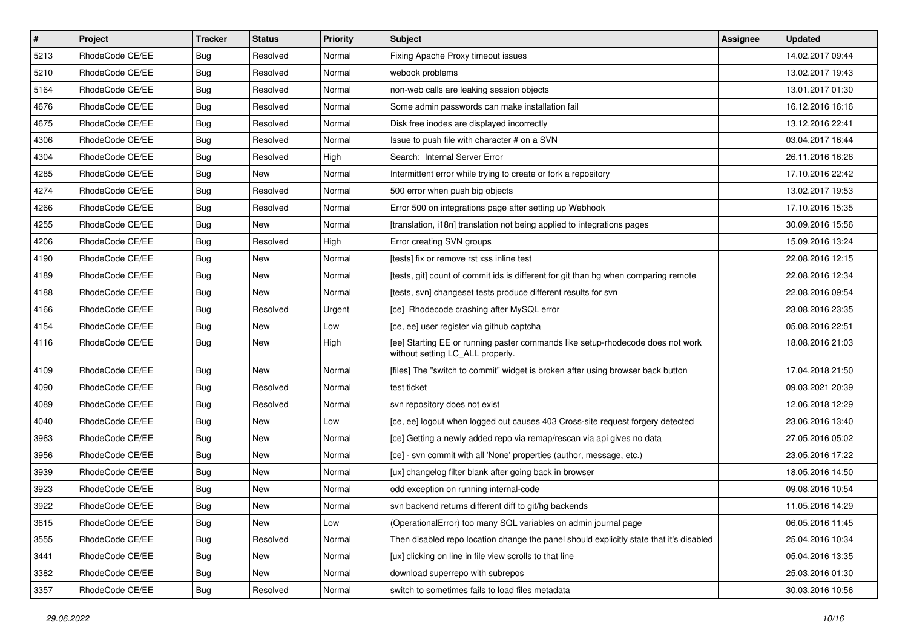| $\vert$ # | Project         | <b>Tracker</b> | <b>Status</b> | <b>Priority</b> | <b>Subject</b>                                                                                                     | <b>Assignee</b> | <b>Updated</b>   |
|-----------|-----------------|----------------|---------------|-----------------|--------------------------------------------------------------------------------------------------------------------|-----------------|------------------|
| 5213      | RhodeCode CE/EE | Bug            | Resolved      | Normal          | Fixing Apache Proxy timeout issues                                                                                 |                 | 14.02.2017 09:44 |
| 5210      | RhodeCode CE/EE | Bug            | Resolved      | Normal          | webook problems                                                                                                    |                 | 13.02.2017 19:43 |
| 5164      | RhodeCode CE/EE | Bug            | Resolved      | Normal          | non-web calls are leaking session objects                                                                          |                 | 13.01.2017 01:30 |
| 4676      | RhodeCode CE/EE | Bug            | Resolved      | Normal          | Some admin passwords can make installation fail                                                                    |                 | 16.12.2016 16:16 |
| 4675      | RhodeCode CE/EE | <b>Bug</b>     | Resolved      | Normal          | Disk free inodes are displayed incorrectly                                                                         |                 | 13.12.2016 22:41 |
| 4306      | RhodeCode CE/EE | Bug            | Resolved      | Normal          | Issue to push file with character # on a SVN                                                                       |                 | 03.04.2017 16:44 |
| 4304      | RhodeCode CE/EE | Bug            | Resolved      | High            | Search: Internal Server Error                                                                                      |                 | 26.11.2016 16:26 |
| 4285      | RhodeCode CE/EE | <b>Bug</b>     | New           | Normal          | Intermittent error while trying to create or fork a repository                                                     |                 | 17.10.2016 22:42 |
| 4274      | RhodeCode CE/EE | Bug            | Resolved      | Normal          | 500 error when push big objects                                                                                    |                 | 13.02.2017 19:53 |
| 4266      | RhodeCode CE/EE | <b>Bug</b>     | Resolved      | Normal          | Error 500 on integrations page after setting up Webhook                                                            |                 | 17.10.2016 15:35 |
| 4255      | RhodeCode CE/EE | Bug            | New           | Normal          | [translation, i18n] translation not being applied to integrations pages                                            |                 | 30.09.2016 15:56 |
| 4206      | RhodeCode CE/EE | <b>Bug</b>     | Resolved      | High            | Error creating SVN groups                                                                                          |                 | 15.09.2016 13:24 |
| 4190      | RhodeCode CE/EE | Bug            | <b>New</b>    | Normal          | [tests] fix or remove rst xss inline test                                                                          |                 | 22.08.2016 12:15 |
| 4189      | RhodeCode CE/EE | Bug            | New           | Normal          | [tests, git] count of commit ids is different for git than hg when comparing remote                                |                 | 22.08.2016 12:34 |
| 4188      | RhodeCode CE/EE | Bug            | <b>New</b>    | Normal          | [tests, svn] changeset tests produce different results for svn                                                     |                 | 22.08.2016 09:54 |
| 4166      | RhodeCode CE/EE | Bug            | Resolved      | Urgent          | [ce] Rhodecode crashing after MySQL error                                                                          |                 | 23.08.2016 23:35 |
| 4154      | RhodeCode CE/EE | Bug            | New           | Low             | [ce, ee] user register via github captcha                                                                          |                 | 05.08.2016 22:51 |
| 4116      | RhodeCode CE/EE | Bug            | <b>New</b>    | High            | [ee] Starting EE or running paster commands like setup-rhodecode does not work<br>without setting LC_ALL properly. |                 | 18.08.2016 21:03 |
| 4109      | RhodeCode CE/EE | Bug            | <b>New</b>    | Normal          | [files] The "switch to commit" widget is broken after using browser back button                                    |                 | 17.04.2018 21:50 |
| 4090      | RhodeCode CE/EE | Bug            | Resolved      | Normal          | test ticket                                                                                                        |                 | 09.03.2021 20:39 |
| 4089      | RhodeCode CE/EE | <b>Bug</b>     | Resolved      | Normal          | svn repository does not exist                                                                                      |                 | 12.06.2018 12:29 |
| 4040      | RhodeCode CE/EE | Bug            | <b>New</b>    | Low             | [ce, ee] logout when logged out causes 403 Cross-site request forgery detected                                     |                 | 23.06.2016 13:40 |
| 3963      | RhodeCode CE/EE | Bug            | New           | Normal          | [ce] Getting a newly added repo via remap/rescan via api gives no data                                             |                 | 27.05.2016 05:02 |
| 3956      | RhodeCode CE/EE | <b>Bug</b>     | New           | Normal          | [ce] - svn commit with all 'None' properties (author, message, etc.)                                               |                 | 23.05.2016 17:22 |
| 3939      | RhodeCode CE/EE | Bug            | <b>New</b>    | Normal          | [ux] changelog filter blank after going back in browser                                                            |                 | 18.05.2016 14:50 |
| 3923      | RhodeCode CE/EE | Bug            | New           | Normal          | odd exception on running internal-code                                                                             |                 | 09.08.2016 10:54 |
| 3922      | RhodeCode CE/EE | <b>Bug</b>     | New           | Normal          | syn backend returns different diff to git/hg backends                                                              |                 | 11.05.2016 14:29 |
| 3615      | RhodeCode CE/EE | Bug            | New           | Low             | (OperationalError) too many SQL variables on admin journal page                                                    |                 | 06.05.2016 11:45 |
| 3555      | RhodeCode CE/EE | <b>Bug</b>     | Resolved      | Normal          | Then disabled repo location change the panel should explicitly state that it's disabled                            |                 | 25.04.2016 10:34 |
| 3441      | RhodeCode CE/EE | <b>Bug</b>     | New           | Normal          | [ux] clicking on line in file view scrolls to that line                                                            |                 | 05.04.2016 13:35 |
| 3382      | RhodeCode CE/EE | <b>Bug</b>     | New           | Normal          | download superrepo with subrepos                                                                                   |                 | 25.03.2016 01:30 |
| 3357      | RhodeCode CE/EE | <b>Bug</b>     | Resolved      | Normal          | switch to sometimes fails to load files metadata                                                                   |                 | 30.03.2016 10:56 |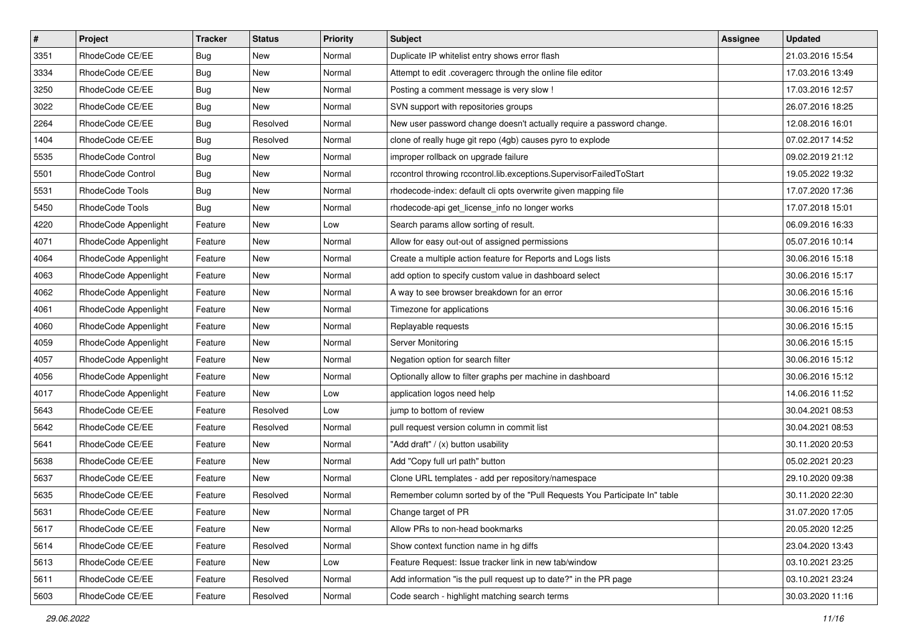| $\pmb{\#}$ | Project                | <b>Tracker</b> | <b>Status</b> | Priority | <b>Subject</b>                                                            | Assignee | <b>Updated</b>   |
|------------|------------------------|----------------|---------------|----------|---------------------------------------------------------------------------|----------|------------------|
| 3351       | RhodeCode CE/EE        | <b>Bug</b>     | New           | Normal   | Duplicate IP whitelist entry shows error flash                            |          | 21.03.2016 15:54 |
| 3334       | RhodeCode CE/EE        | Bug            | New           | Normal   | Attempt to edit .coveragerc through the online file editor                |          | 17.03.2016 13:49 |
| 3250       | RhodeCode CE/EE        | Bug            | New           | Normal   | Posting a comment message is very slow !                                  |          | 17.03.2016 12:57 |
| 3022       | RhodeCode CE/EE        | <b>Bug</b>     | New           | Normal   | SVN support with repositories groups                                      |          | 26.07.2016 18:25 |
| 2264       | RhodeCode CE/EE        | Bug            | Resolved      | Normal   | New user password change doesn't actually require a password change.      |          | 12.08.2016 16:01 |
| 1404       | RhodeCode CE/EE        | <b>Bug</b>     | Resolved      | Normal   | clone of really huge git repo (4gb) causes pyro to explode                |          | 07.02.2017 14:52 |
| 5535       | RhodeCode Control      | <b>Bug</b>     | New           | Normal   | improper rollback on upgrade failure                                      |          | 09.02.2019 21:12 |
| 5501       | RhodeCode Control      | Bug            | New           | Normal   | rccontrol throwing rccontrol.lib.exceptions.SupervisorFailedToStart       |          | 19.05.2022 19:32 |
| 5531       | <b>RhodeCode Tools</b> | <b>Bug</b>     | New           | Normal   | rhodecode-index: default cli opts overwrite given mapping file            |          | 17.07.2020 17:36 |
| 5450       | RhodeCode Tools        | <b>Bug</b>     | New           | Normal   | rhodecode-api get_license_info no longer works                            |          | 17.07.2018 15:01 |
| 4220       | RhodeCode Appenlight   | Feature        | New           | Low      | Search params allow sorting of result.                                    |          | 06.09.2016 16:33 |
| 4071       | RhodeCode Appenlight   | Feature        | New           | Normal   | Allow for easy out-out of assigned permissions                            |          | 05.07.2016 10:14 |
| 4064       | RhodeCode Appenlight   | Feature        | New           | Normal   | Create a multiple action feature for Reports and Logs lists               |          | 30.06.2016 15:18 |
| 4063       | RhodeCode Appenlight   | Feature        | New           | Normal   | add option to specify custom value in dashboard select                    |          | 30.06.2016 15:17 |
| 4062       | RhodeCode Appenlight   | Feature        | New           | Normal   | A way to see browser breakdown for an error                               |          | 30.06.2016 15:16 |
| 4061       | RhodeCode Appenlight   | Feature        | New           | Normal   | Timezone for applications                                                 |          | 30.06.2016 15:16 |
| 4060       | RhodeCode Appenlight   | Feature        | New           | Normal   | Replayable requests                                                       |          | 30.06.2016 15:15 |
| 4059       | RhodeCode Appenlight   | Feature        | <b>New</b>    | Normal   | Server Monitoring                                                         |          | 30.06.2016 15:15 |
| 4057       | RhodeCode Appenlight   | Feature        | New           | Normal   | Negation option for search filter                                         |          | 30.06.2016 15:12 |
| 4056       | RhodeCode Appenlight   | Feature        | New           | Normal   | Optionally allow to filter graphs per machine in dashboard                |          | 30.06.2016 15:12 |
| 4017       | RhodeCode Appenlight   | Feature        | New           | Low      | application logos need help                                               |          | 14.06.2016 11:52 |
| 5643       | RhodeCode CE/EE        | Feature        | Resolved      | Low      | jump to bottom of review                                                  |          | 30.04.2021 08:53 |
| 5642       | RhodeCode CE/EE        | Feature        | Resolved      | Normal   | pull request version column in commit list                                |          | 30.04.2021 08:53 |
| 5641       | RhodeCode CE/EE        | Feature        | New           | Normal   | "Add draft" / (x) button usability                                        |          | 30.11.2020 20:53 |
| 5638       | RhodeCode CE/EE        | Feature        | New           | Normal   | Add "Copy full url path" button                                           |          | 05.02.2021 20:23 |
| 5637       | RhodeCode CE/EE        | Feature        | New           | Normal   | Clone URL templates - add per repository/namespace                        |          | 29.10.2020 09:38 |
| 5635       | RhodeCode CE/EE        | Feature        | Resolved      | Normal   | Remember column sorted by of the "Pull Requests You Participate In" table |          | 30.11.2020 22:30 |
| 5631       | RhodeCode CE/EE        | Feature        | New           | Normal   | Change target of PR                                                       |          | 31.07.2020 17:05 |
| 5617       | RhodeCode CE/EE        | Feature        | New           | Normal   | Allow PRs to non-head bookmarks                                           |          | 20.05.2020 12:25 |
| 5614       | RhodeCode CE/EE        | Feature        | Resolved      | Normal   | Show context function name in hg diffs                                    |          | 23.04.2020 13:43 |
| 5613       | RhodeCode CE/EE        | Feature        | New           | Low      | Feature Request: Issue tracker link in new tab/window                     |          | 03.10.2021 23:25 |
| 5611       | RhodeCode CE/EE        | Feature        | Resolved      | Normal   | Add information "is the pull request up to date?" in the PR page          |          | 03.10.2021 23:24 |
| 5603       | RhodeCode CE/EE        | Feature        | Resolved      | Normal   | Code search - highlight matching search terms                             |          | 30.03.2020 11:16 |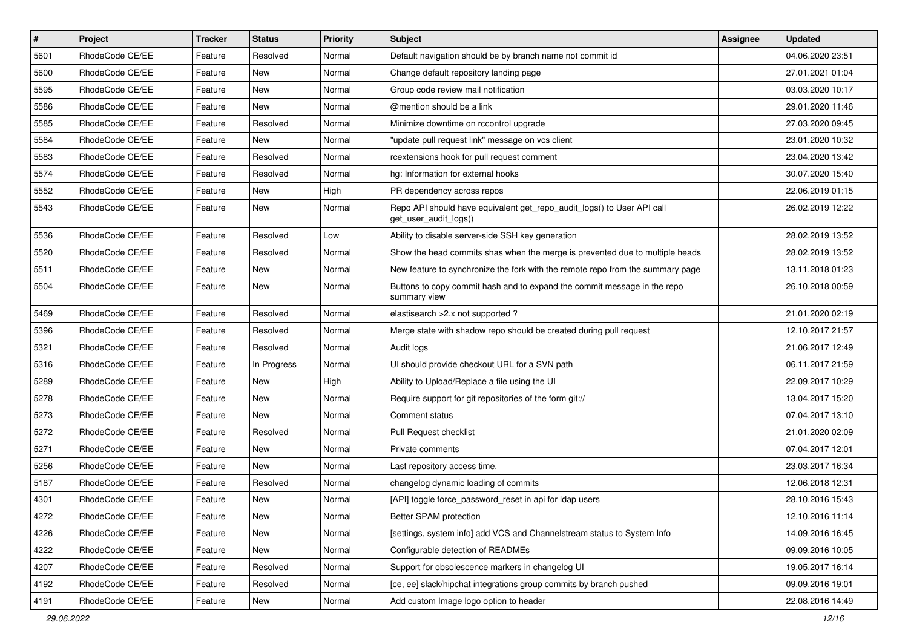| $\vert$ # | Project         | <b>Tracker</b> | <b>Status</b> | <b>Priority</b> | <b>Subject</b>                                                                                  | <b>Assignee</b> | <b>Updated</b>   |
|-----------|-----------------|----------------|---------------|-----------------|-------------------------------------------------------------------------------------------------|-----------------|------------------|
| 5601      | RhodeCode CE/EE | Feature        | Resolved      | Normal          | Default navigation should be by branch name not commit id                                       |                 | 04.06.2020 23:51 |
| 5600      | RhodeCode CE/EE | Feature        | <b>New</b>    | Normal          | Change default repository landing page                                                          |                 | 27.01.2021 01:04 |
| 5595      | RhodeCode CE/EE | Feature        | New           | Normal          | Group code review mail notification                                                             |                 | 03.03.2020 10:17 |
| 5586      | RhodeCode CE/EE | Feature        | New           | Normal          | @mention should be a link                                                                       |                 | 29.01.2020 11:46 |
| 5585      | RhodeCode CE/EE | Feature        | Resolved      | Normal          | Minimize downtime on rccontrol upgrade                                                          |                 | 27.03.2020 09:45 |
| 5584      | RhodeCode CE/EE | Feature        | New           | Normal          | "update pull request link" message on vcs client                                                |                 | 23.01.2020 10:32 |
| 5583      | RhodeCode CE/EE | Feature        | Resolved      | Normal          | rcextensions hook for pull request comment                                                      |                 | 23.04.2020 13:42 |
| 5574      | RhodeCode CE/EE | Feature        | Resolved      | Normal          | hg: Information for external hooks                                                              |                 | 30.07.2020 15:40 |
| 5552      | RhodeCode CE/EE | Feature        | New           | High            | PR dependency across repos                                                                      |                 | 22.06.2019 01:15 |
| 5543      | RhodeCode CE/EE | Feature        | New           | Normal          | Repo API should have equivalent get_repo_audit_logs() to User API call<br>get_user_audit_logs() |                 | 26.02.2019 12:22 |
| 5536      | RhodeCode CE/EE | Feature        | Resolved      | Low             | Ability to disable server-side SSH key generation                                               |                 | 28.02.2019 13:52 |
| 5520      | RhodeCode CE/EE | Feature        | Resolved      | Normal          | Show the head commits shas when the merge is prevented due to multiple heads                    |                 | 28.02.2019 13:52 |
| 5511      | RhodeCode CE/EE | Feature        | New           | Normal          | New feature to synchronize the fork with the remote repo from the summary page                  |                 | 13.11.2018 01:23 |
| 5504      | RhodeCode CE/EE | Feature        | New           | Normal          | Buttons to copy commit hash and to expand the commit message in the repo<br>summary view        |                 | 26.10.2018 00:59 |
| 5469      | RhodeCode CE/EE | Feature        | Resolved      | Normal          | elastisearch > 2.x not supported?                                                               |                 | 21.01.2020 02:19 |
| 5396      | RhodeCode CE/EE | Feature        | Resolved      | Normal          | Merge state with shadow repo should be created during pull request                              |                 | 12.10.2017 21:57 |
| 5321      | RhodeCode CE/EE | Feature        | Resolved      | Normal          | Audit logs                                                                                      |                 | 21.06.2017 12:49 |
| 5316      | RhodeCode CE/EE | Feature        | In Progress   | Normal          | UI should provide checkout URL for a SVN path                                                   |                 | 06.11.2017 21:59 |
| 5289      | RhodeCode CE/EE | Feature        | New           | High            | Ability to Upload/Replace a file using the UI                                                   |                 | 22.09.2017 10:29 |
| 5278      | RhodeCode CE/EE | Feature        | New           | Normal          | Require support for git repositories of the form git://                                         |                 | 13.04.2017 15:20 |
| 5273      | RhodeCode CE/EE | Feature        | New           | Normal          | Comment status                                                                                  |                 | 07.04.2017 13:10 |
| 5272      | RhodeCode CE/EE | Feature        | Resolved      | Normal          | Pull Request checklist                                                                          |                 | 21.01.2020 02:09 |
| 5271      | RhodeCode CE/EE | Feature        | New           | Normal          | Private comments                                                                                |                 | 07.04.2017 12:01 |
| 5256      | RhodeCode CE/EE | Feature        | New           | Normal          | Last repository access time.                                                                    |                 | 23.03.2017 16:34 |
| 5187      | RhodeCode CE/EE | Feature        | Resolved      | Normal          | changelog dynamic loading of commits                                                            |                 | 12.06.2018 12:31 |
| 4301      | RhodeCode CE/EE | Feature        | New           | Normal          | [API] toggle force_password_reset in api for Idap users                                         |                 | 28.10.2016 15:43 |
| 4272      | RhodeCode CE/EE | Feature        | New           | Normal          | Better SPAM protection                                                                          |                 | 12.10.2016 11:14 |
| 4226      | RhodeCode CE/EE | Feature        | New           | Normal          | [settings, system info] add VCS and Channelstream status to System Info                         |                 | 14.09.2016 16:45 |
| 4222      | RhodeCode CE/EE | Feature        | New           | Normal          | Configurable detection of READMEs                                                               |                 | 09.09.2016 10:05 |
| 4207      | RhodeCode CE/EE | Feature        | Resolved      | Normal          | Support for obsolescence markers in changelog UI                                                |                 | 19.05.2017 16:14 |
| 4192      | RhodeCode CE/EE | Feature        | Resolved      | Normal          | [ce, ee] slack/hipchat integrations group commits by branch pushed                              |                 | 09.09.2016 19:01 |
| 4191      | RhodeCode CE/EE | Feature        | New           | Normal          | Add custom Image logo option to header                                                          |                 | 22.08.2016 14:49 |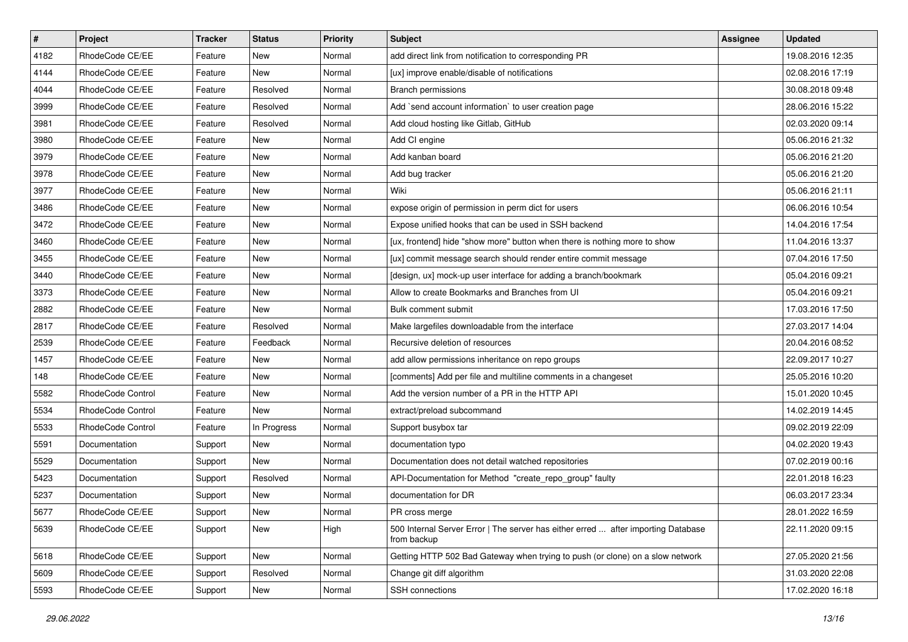| $\sharp$ | Project           | <b>Tracker</b> | <b>Status</b> | Priority | <b>Subject</b>                                                                                   | Assignee | <b>Updated</b>   |
|----------|-------------------|----------------|---------------|----------|--------------------------------------------------------------------------------------------------|----------|------------------|
| 4182     | RhodeCode CE/EE   | Feature        | New           | Normal   | add direct link from notification to corresponding PR                                            |          | 19.08.2016 12:35 |
| 4144     | RhodeCode CE/EE   | Feature        | New           | Normal   | [ux] improve enable/disable of notifications                                                     |          | 02.08.2016 17:19 |
| 4044     | RhodeCode CE/EE   | Feature        | Resolved      | Normal   | <b>Branch permissions</b>                                                                        |          | 30.08.2018 09:48 |
| 3999     | RhodeCode CE/EE   | Feature        | Resolved      | Normal   | Add `send account information` to user creation page                                             |          | 28.06.2016 15:22 |
| 3981     | RhodeCode CE/EE   | Feature        | Resolved      | Normal   | Add cloud hosting like Gitlab, GitHub                                                            |          | 02.03.2020 09:14 |
| 3980     | RhodeCode CE/EE   | Feature        | New           | Normal   | Add CI engine                                                                                    |          | 05.06.2016 21:32 |
| 3979     | RhodeCode CE/EE   | Feature        | New           | Normal   | Add kanban board                                                                                 |          | 05.06.2016 21:20 |
| 3978     | RhodeCode CE/EE   | Feature        | <b>New</b>    | Normal   | Add bug tracker                                                                                  |          | 05.06.2016 21:20 |
| 3977     | RhodeCode CE/EE   | Feature        | <b>New</b>    | Normal   | Wiki                                                                                             |          | 05.06.2016 21:11 |
| 3486     | RhodeCode CE/EE   | Feature        | <b>New</b>    | Normal   | expose origin of permission in perm dict for users                                               |          | 06.06.2016 10:54 |
| 3472     | RhodeCode CE/EE   | Feature        | New           | Normal   | Expose unified hooks that can be used in SSH backend                                             |          | 14.04.2016 17:54 |
| 3460     | RhodeCode CE/EE   | Feature        | New           | Normal   | [ux, frontend] hide "show more" button when there is nothing more to show                        |          | 11.04.2016 13:37 |
| 3455     | RhodeCode CE/EE   | Feature        | <b>New</b>    | Normal   | [ux] commit message search should render entire commit message                                   |          | 07.04.2016 17:50 |
| 3440     | RhodeCode CE/EE   | Feature        | <b>New</b>    | Normal   | [design, ux] mock-up user interface for adding a branch/bookmark                                 |          | 05.04.2016 09:21 |
| 3373     | RhodeCode CE/EE   | Feature        | <b>New</b>    | Normal   | Allow to create Bookmarks and Branches from UI                                                   |          | 05.04.2016 09:21 |
| 2882     | RhodeCode CE/EE   | Feature        | New           | Normal   | Bulk comment submit                                                                              |          | 17.03.2016 17:50 |
| 2817     | RhodeCode CE/EE   | Feature        | Resolved      | Normal   | Make largefiles downloadable from the interface                                                  |          | 27.03.2017 14:04 |
| 2539     | RhodeCode CE/EE   | Feature        | Feedback      | Normal   | Recursive deletion of resources                                                                  |          | 20.04.2016 08:52 |
| 1457     | RhodeCode CE/EE   | Feature        | New           | Normal   | add allow permissions inheritance on repo groups                                                 |          | 22.09.2017 10:27 |
| 148      | RhodeCode CE/EE   | Feature        | <b>New</b>    | Normal   | [comments] Add per file and multiline comments in a changeset                                    |          | 25.05.2016 10:20 |
| 5582     | RhodeCode Control | Feature        | New           | Normal   | Add the version number of a PR in the HTTP API                                                   |          | 15.01.2020 10:45 |
| 5534     | RhodeCode Control | Feature        | <b>New</b>    | Normal   | extract/preload subcommand                                                                       |          | 14.02.2019 14:45 |
| 5533     | RhodeCode Control | Feature        | In Progress   | Normal   | Support busybox tar                                                                              |          | 09.02.2019 22:09 |
| 5591     | Documentation     | Support        | New           | Normal   | documentation typo                                                                               |          | 04.02.2020 19:43 |
| 5529     | Documentation     | Support        | New           | Normal   | Documentation does not detail watched repositories                                               |          | 07.02.2019 00:16 |
| 5423     | Documentation     | Support        | Resolved      | Normal   | API-Documentation for Method "create_repo_group" faulty                                          |          | 22.01.2018 16:23 |
| 5237     | Documentation     | Support        | New           | Normal   | documentation for DR                                                                             |          | 06.03.2017 23:34 |
| 5677     | RhodeCode CE/EE   | Support        | New           | Normal   | PR cross merge                                                                                   |          | 28.01.2022 16:59 |
| 5639     | RhodeCode CE/EE   | Support        | New           | High     | 500 Internal Server Error   The server has either erred  after importing Database<br>from backup |          | 22.11.2020 09:15 |
| 5618     | RhodeCode CE/EE   | Support        | New           | Normal   | Getting HTTP 502 Bad Gateway when trying to push (or clone) on a slow network                    |          | 27.05.2020 21:56 |
| 5609     | RhodeCode CE/EE   | Support        | Resolved      | Normal   | Change git diff algorithm                                                                        |          | 31.03.2020 22:08 |
| 5593     | RhodeCode CE/EE   | Support        | New           | Normal   | SSH connections                                                                                  |          | 17.02.2020 16:18 |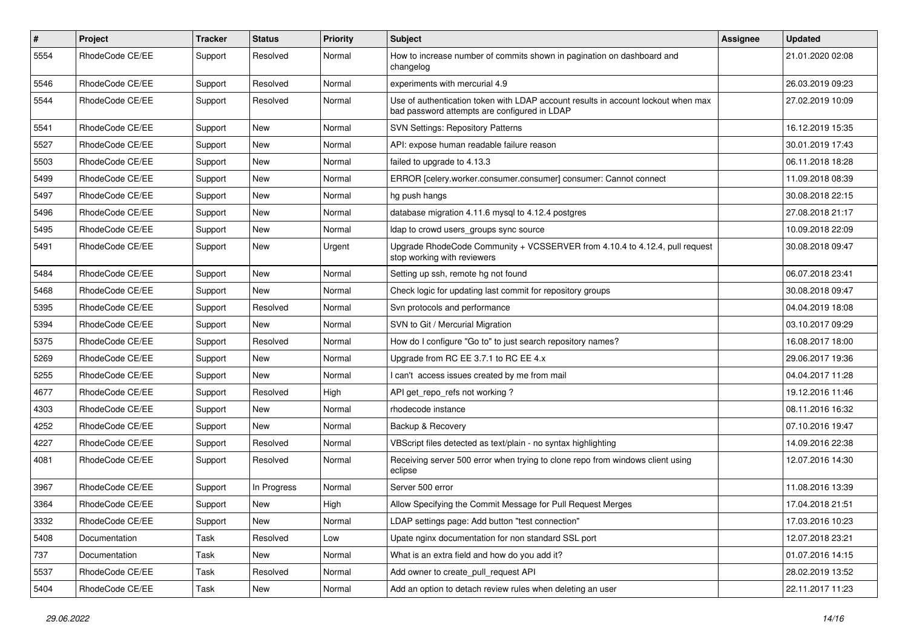| $\#$ | Project         | Tracker | <b>Status</b> | <b>Priority</b> | Subject                                                                                                                           | <b>Assignee</b> | <b>Updated</b>   |
|------|-----------------|---------|---------------|-----------------|-----------------------------------------------------------------------------------------------------------------------------------|-----------------|------------------|
| 5554 | RhodeCode CE/EE | Support | Resolved      | Normal          | How to increase number of commits shown in pagination on dashboard and<br>changelog                                               |                 | 21.01.2020 02:08 |
| 5546 | RhodeCode CE/EE | Support | Resolved      | Normal          | experiments with mercurial 4.9                                                                                                    |                 | 26.03.2019 09:23 |
| 5544 | RhodeCode CE/EE | Support | Resolved      | Normal          | Use of authentication token with LDAP account results in account lockout when max<br>bad password attempts are configured in LDAP |                 | 27.02.2019 10:09 |
| 5541 | RhodeCode CE/EE | Support | New           | Normal          | <b>SVN Settings: Repository Patterns</b>                                                                                          |                 | 16.12.2019 15:35 |
| 5527 | RhodeCode CE/EE | Support | New           | Normal          | API: expose human readable failure reason                                                                                         |                 | 30.01.2019 17:43 |
| 5503 | RhodeCode CE/EE | Support | New           | Normal          | failed to upgrade to 4.13.3                                                                                                       |                 | 06.11.2018 18:28 |
| 5499 | RhodeCode CE/EE | Support | New           | Normal          | ERROR [celery.worker.consumer.consumer] consumer: Cannot connect                                                                  |                 | 11.09.2018 08:39 |
| 5497 | RhodeCode CE/EE | Support | New           | Normal          | hg push hangs                                                                                                                     |                 | 30.08.2018 22:15 |
| 5496 | RhodeCode CE/EE | Support | New           | Normal          | database migration 4.11.6 mysql to 4.12.4 postgres                                                                                |                 | 27.08.2018 21:17 |
| 5495 | RhodeCode CE/EE | Support | New           | Normal          | Idap to crowd users groups sync source                                                                                            |                 | 10.09.2018 22:09 |
| 5491 | RhodeCode CE/EE | Support | New           | Urgent          | Upgrade RhodeCode Community + VCSSERVER from 4.10.4 to 4.12.4, pull request<br>stop working with reviewers                        |                 | 30.08.2018 09:47 |
| 5484 | RhodeCode CE/EE | Support | New           | Normal          | Setting up ssh, remote hg not found                                                                                               |                 | 06.07.2018 23:41 |
| 5468 | RhodeCode CE/EE | Support | New           | Normal          | Check logic for updating last commit for repository groups                                                                        |                 | 30.08.2018 09:47 |
| 5395 | RhodeCode CE/EE | Support | Resolved      | Normal          | Svn protocols and performance                                                                                                     |                 | 04.04.2019 18:08 |
| 5394 | RhodeCode CE/EE | Support | New           | Normal          | SVN to Git / Mercurial Migration                                                                                                  |                 | 03.10.2017 09:29 |
| 5375 | RhodeCode CE/EE | Support | Resolved      | Normal          | How do I configure "Go to" to just search repository names?                                                                       |                 | 16.08.2017 18:00 |
| 5269 | RhodeCode CE/EE | Support | New           | Normal          | Upgrade from RC EE 3.7.1 to RC EE 4.x                                                                                             |                 | 29.06.2017 19:36 |
| 5255 | RhodeCode CE/EE | Support | <b>New</b>    | Normal          | I can't access issues created by me from mail                                                                                     |                 | 04.04.2017 11:28 |
| 4677 | RhodeCode CE/EE | Support | Resolved      | High            | API get repo refs not working?                                                                                                    |                 | 19.12.2016 11:46 |
| 4303 | RhodeCode CE/EE | Support | <b>New</b>    | Normal          | rhodecode instance                                                                                                                |                 | 08.11.2016 16:32 |
| 4252 | RhodeCode CE/EE | Support | New           | Normal          | Backup & Recovery                                                                                                                 |                 | 07.10.2016 19:47 |
| 4227 | RhodeCode CE/EE | Support | Resolved      | Normal          | VBScript files detected as text/plain - no syntax highlighting                                                                    |                 | 14.09.2016 22:38 |
| 4081 | RhodeCode CE/EE | Support | Resolved      | Normal          | Receiving server 500 error when trying to clone repo from windows client using<br>eclipse                                         |                 | 12.07.2016 14:30 |
| 3967 | RhodeCode CE/EE | Support | In Progress   | Normal          | Server 500 error                                                                                                                  |                 | 11.08.2016 13:39 |
| 3364 | RhodeCode CE/EE | Support | New           | High            | Allow Specifying the Commit Message for Pull Request Merges                                                                       |                 | 17.04.2018 21:51 |
| 3332 | RhodeCode CE/EE | Support | New           | Normal          | LDAP settings page: Add button "test connection"                                                                                  |                 | 17.03.2016 10:23 |
| 5408 | Documentation   | Task    | Resolved      | Low             | Upate nginx documentation for non standard SSL port                                                                               |                 | 12.07.2018 23:21 |
| 737  | Documentation   | Task    | New           | Normal          | What is an extra field and how do you add it?                                                                                     |                 | 01.07.2016 14:15 |
| 5537 | RhodeCode CE/EE | Task    | Resolved      | Normal          | Add owner to create_pull_request API                                                                                              |                 | 28.02.2019 13:52 |
| 5404 | RhodeCode CE/EE | Task    | New           | Normal          | Add an option to detach review rules when deleting an user                                                                        |                 | 22.11.2017 11:23 |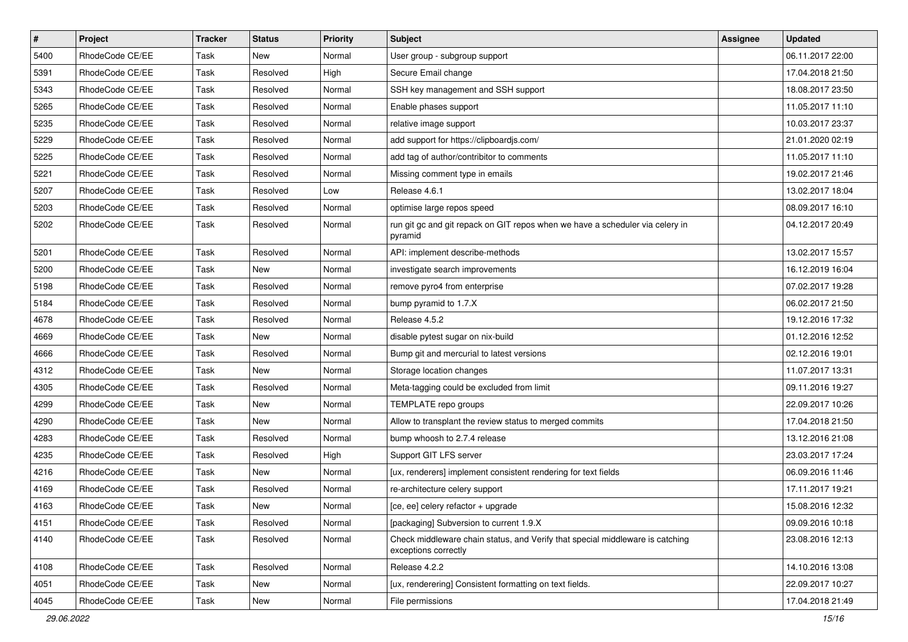| $\vert$ # | Project         | Tracker | <b>Status</b> | <b>Priority</b> | Subject                                                                                               | Assignee | <b>Updated</b>   |
|-----------|-----------------|---------|---------------|-----------------|-------------------------------------------------------------------------------------------------------|----------|------------------|
| 5400      | RhodeCode CE/EE | Task    | New           | Normal          | User group - subgroup support                                                                         |          | 06.11.2017 22:00 |
| 5391      | RhodeCode CE/EE | Task    | Resolved      | High            | Secure Email change                                                                                   |          | 17.04.2018 21:50 |
| 5343      | RhodeCode CE/EE | Task    | Resolved      | Normal          | SSH key management and SSH support                                                                    |          | 18.08.2017 23:50 |
| 5265      | RhodeCode CE/EE | Task    | Resolved      | Normal          | Enable phases support                                                                                 |          | 11.05.2017 11:10 |
| 5235      | RhodeCode CE/EE | Task    | Resolved      | Normal          | relative image support                                                                                |          | 10.03.2017 23:37 |
| 5229      | RhodeCode CE/EE | Task    | Resolved      | Normal          | add support for https://clipboardjs.com/                                                              |          | 21.01.2020 02:19 |
| 5225      | RhodeCode CE/EE | Task    | Resolved      | Normal          | add tag of author/contribitor to comments                                                             |          | 11.05.2017 11:10 |
| 5221      | RhodeCode CE/EE | Task    | Resolved      | Normal          | Missing comment type in emails                                                                        |          | 19.02.2017 21:46 |
| 5207      | RhodeCode CE/EE | Task    | Resolved      | Low             | Release 4.6.1                                                                                         |          | 13.02.2017 18:04 |
| 5203      | RhodeCode CE/EE | Task    | Resolved      | Normal          | optimise large repos speed                                                                            |          | 08.09.2017 16:10 |
| 5202      | RhodeCode CE/EE | Task    | Resolved      | Normal          | run git gc and git repack on GIT repos when we have a scheduler via celery in<br>pyramid              |          | 04.12.2017 20:49 |
| 5201      | RhodeCode CE/EE | Task    | Resolved      | Normal          | API: implement describe-methods                                                                       |          | 13.02.2017 15:57 |
| 5200      | RhodeCode CE/EE | Task    | New           | Normal          | investigate search improvements                                                                       |          | 16.12.2019 16:04 |
| 5198      | RhodeCode CE/EE | Task    | Resolved      | Normal          | remove pyro4 from enterprise                                                                          |          | 07.02.2017 19:28 |
| 5184      | RhodeCode CE/EE | Task    | Resolved      | Normal          | bump pyramid to 1.7.X                                                                                 |          | 06.02.2017 21:50 |
| 4678      | RhodeCode CE/EE | Task    | Resolved      | Normal          | Release 4.5.2                                                                                         |          | 19.12.2016 17:32 |
| 4669      | RhodeCode CE/EE | Task    | <b>New</b>    | Normal          | disable pytest sugar on nix-build                                                                     |          | 01.12.2016 12:52 |
| 4666      | RhodeCode CE/EE | Task    | Resolved      | Normal          | Bump git and mercurial to latest versions                                                             |          | 02.12.2016 19:01 |
| 4312      | RhodeCode CE/EE | Task    | <b>New</b>    | Normal          | Storage location changes                                                                              |          | 11.07.2017 13:31 |
| 4305      | RhodeCode CE/EE | Task    | Resolved      | Normal          | Meta-tagging could be excluded from limit                                                             |          | 09.11.2016 19:27 |
| 4299      | RhodeCode CE/EE | Task    | New           | Normal          | TEMPLATE repo groups                                                                                  |          | 22.09.2017 10:26 |
| 4290      | RhodeCode CE/EE | Task    | New           | Normal          | Allow to transplant the review status to merged commits                                               |          | 17.04.2018 21:50 |
| 4283      | RhodeCode CE/EE | Task    | Resolved      | Normal          | bump whoosh to 2.7.4 release                                                                          |          | 13.12.2016 21:08 |
| 4235      | RhodeCode CE/EE | Task    | Resolved      | High            | Support GIT LFS server                                                                                |          | 23.03.2017 17:24 |
| 4216      | RhodeCode CE/EE | Task    | New           | Normal          | [ux, renderers] implement consistent rendering for text fields                                        |          | 06.09.2016 11:46 |
| 4169      | RhodeCode CE/EE | Task    | Resolved      | Normal          | re-architecture celery support                                                                        |          | 17.11.2017 19:21 |
| 4163      | RhodeCode CE/EE | Task    | New           | Normal          | [ce, ee] celery refactor + upgrade                                                                    |          | 15.08.2016 12:32 |
| 4151      | RhodeCode CE/EE | Task    | Resolved      | Normal          | [packaging] Subversion to current 1.9.X                                                               |          | 09.09.2016 10:18 |
| 4140      | RhodeCode CE/EE | Task    | Resolved      | Normal          | Check middleware chain status, and Verify that special middleware is catching<br>exceptions correctly |          | 23.08.2016 12:13 |
| 4108      | RhodeCode CE/EE | Task    | Resolved      | Normal          | Release 4.2.2                                                                                         |          | 14.10.2016 13:08 |
| 4051      | RhodeCode CE/EE | Task    | New           | Normal          | [ux, renderering] Consistent formatting on text fields.                                               |          | 22.09.2017 10:27 |
| 4045      | RhodeCode CE/EE | Task    | New           | Normal          | File permissions                                                                                      |          | 17.04.2018 21:49 |